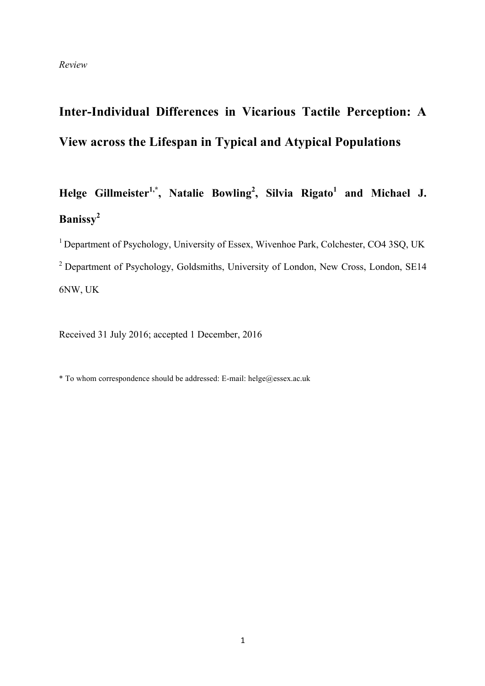# **Inter-Individual Differences in Vicarious Tactile Perception: A View across the Lifespan in Typical and Atypical Populations**

**Helge Gillmeister1,\*, Natalie Bowling2 , Silvia Rigato<sup>1</sup> and Michael J. Banissy<sup>2</sup>**

<sup>1</sup> Department of Psychology, University of Essex, Wivenhoe Park, Colchester, CO4 3SQ, UK <sup>2</sup> Department of Psychology, Goldsmiths, University of London, New Cross, London, SE14 6NW, UK

Received 31 July 2016; accepted 1 December, 2016

\* To whom correspondence should be addressed: E-mail: helge@essex.ac.uk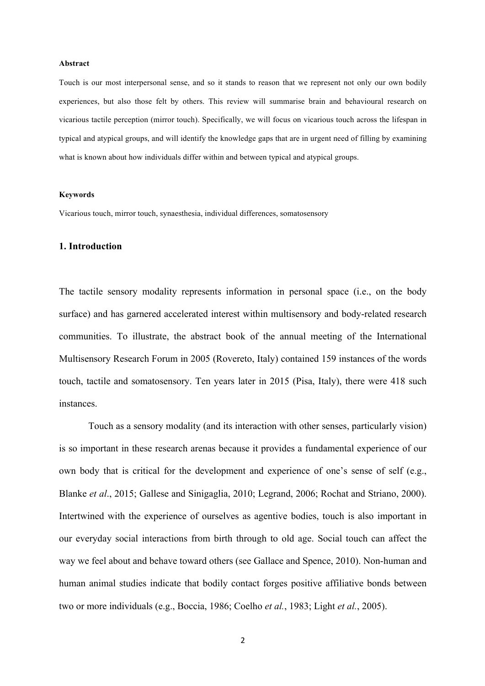#### **Abstract**

Touch is our most interpersonal sense, and so it stands to reason that we represent not only our own bodily experiences, but also those felt by others. This review will summarise brain and behavioural research on vicarious tactile perception (mirror touch). Specifically, we will focus on vicarious touch across the lifespan in typical and atypical groups, and will identify the knowledge gaps that are in urgent need of filling by examining what is known about how individuals differ within and between typical and atypical groups.

#### **Keywords**

Vicarious touch, mirror touch, synaesthesia, individual differences, somatosensory

#### **1. Introduction**

The tactile sensory modality represents information in personal space (i.e., on the body surface) and has garnered accelerated interest within multisensory and body-related research communities. To illustrate, the abstract book of the annual meeting of the International Multisensory Research Forum in 2005 (Rovereto, Italy) contained 159 instances of the words touch, tactile and somatosensory. Ten years later in 2015 (Pisa, Italy), there were 418 such instances.

Touch as a sensory modality (and its interaction with other senses, particularly vision) is so important in these research arenas because it provides a fundamental experience of our own body that is critical for the development and experience of one's sense of self (e.g., Blanke *et al*., 2015; Gallese and Sinigaglia, 2010; Legrand, 2006; Rochat and Striano, 2000). Intertwined with the experience of ourselves as agentive bodies, touch is also important in our everyday social interactions from birth through to old age. Social touch can affect the way we feel about and behave toward others (see Gallace and Spence, 2010). Non-human and human animal studies indicate that bodily contact forges positive affiliative bonds between two or more individuals (e.g., Boccia, 1986; Coelho *et al.*, 1983; Light *et al.*, 2005).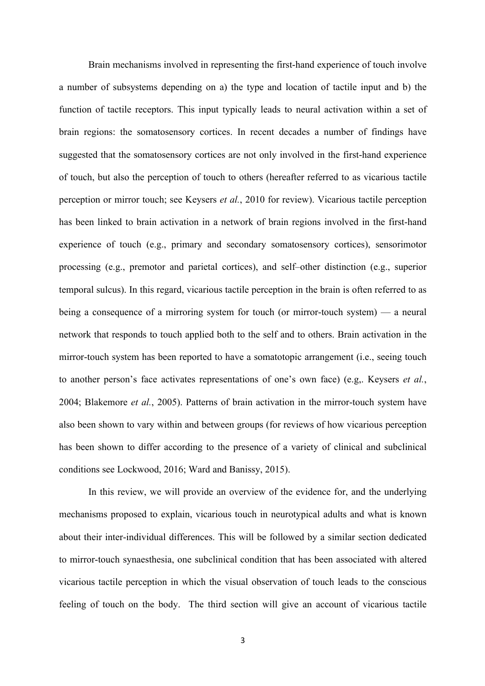Brain mechanisms involved in representing the first-hand experience of touch involve a number of subsystems depending on a) the type and location of tactile input and b) the function of tactile receptors. This input typically leads to neural activation within a set of brain regions: the somatosensory cortices. In recent decades a number of findings have suggested that the somatosensory cortices are not only involved in the first-hand experience of touch, but also the perception of touch to others (hereafter referred to as vicarious tactile perception or mirror touch; see Keysers *et al.*, 2010 for review). Vicarious tactile perception has been linked to brain activation in a network of brain regions involved in the first-hand experience of touch (e.g., primary and secondary somatosensory cortices), sensorimotor processing (e.g., premotor and parietal cortices), and self–other distinction (e.g., superior temporal sulcus). In this regard, vicarious tactile perception in the brain is often referred to as being a consequence of a mirroring system for touch (or mirror-touch system) — a neural network that responds to touch applied both to the self and to others. Brain activation in the mirror-touch system has been reported to have a somatotopic arrangement (i.e., seeing touch to another person's face activates representations of one's own face) (e.g,. Keysers *et al.*, 2004; Blakemore *et al.*, 2005). Patterns of brain activation in the mirror-touch system have also been shown to vary within and between groups (for reviews of how vicarious perception has been shown to differ according to the presence of a variety of clinical and subclinical conditions see Lockwood, 2016; Ward and Banissy, 2015).

In this review, we will provide an overview of the evidence for, and the underlying mechanisms proposed to explain, vicarious touch in neurotypical adults and what is known about their inter-individual differences. This will be followed by a similar section dedicated to mirror-touch synaesthesia, one subclinical condition that has been associated with altered vicarious tactile perception in which the visual observation of touch leads to the conscious feeling of touch on the body. The third section will give an account of vicarious tactile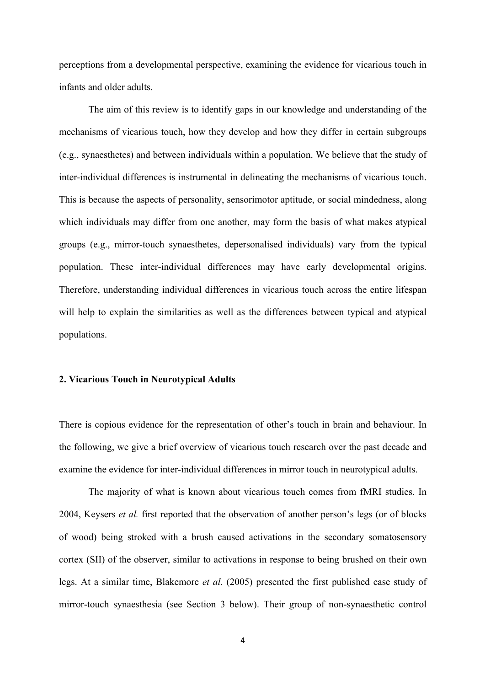perceptions from a developmental perspective, examining the evidence for vicarious touch in infants and older adults.

The aim of this review is to identify gaps in our knowledge and understanding of the mechanisms of vicarious touch, how they develop and how they differ in certain subgroups (e.g., synaesthetes) and between individuals within a population. We believe that the study of inter-individual differences is instrumental in delineating the mechanisms of vicarious touch. This is because the aspects of personality, sensorimotor aptitude, or social mindedness, along which individuals may differ from one another, may form the basis of what makes atypical groups (e.g., mirror-touch synaesthetes, depersonalised individuals) vary from the typical population. These inter-individual differences may have early developmental origins. Therefore, understanding individual differences in vicarious touch across the entire lifespan will help to explain the similarities as well as the differences between typical and atypical populations.

## **2. Vicarious Touch in Neurotypical Adults**

There is copious evidence for the representation of other's touch in brain and behaviour. In the following, we give a brief overview of vicarious touch research over the past decade and examine the evidence for inter-individual differences in mirror touch in neurotypical adults.

The majority of what is known about vicarious touch comes from fMRI studies. In 2004, Keysers *et al.* first reported that the observation of another person's legs (or of blocks of wood) being stroked with a brush caused activations in the secondary somatosensory cortex (SII) of the observer, similar to activations in response to being brushed on their own legs. At a similar time, Blakemore *et al.* (2005) presented the first published case study of mirror-touch synaesthesia (see Section 3 below). Their group of non-synaesthetic control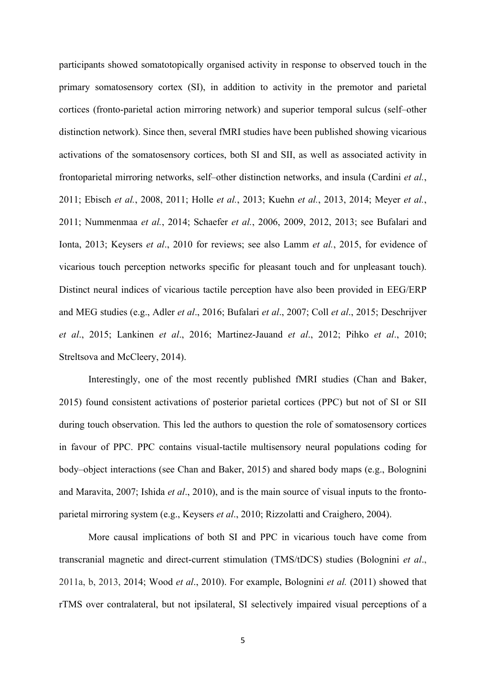participants showed somatotopically organised activity in response to observed touch in the primary somatosensory cortex (SI), in addition to activity in the premotor and parietal cortices (fronto-parietal action mirroring network) and superior temporal sulcus (self–other distinction network). Since then, several fMRI studies have been published showing vicarious activations of the somatosensory cortices, both SI and SII, as well as associated activity in frontoparietal mirroring networks, self–other distinction networks, and insula (Cardini *et al.*, 2011; Ebisch *et al.*, 2008, 2011; Holle *et al.*, 2013; Kuehn *et al.*, 2013, 2014; Meyer *et al.*, 2011; Nummenmaa *et al.*, 2014; Schaefer *et al.*, 2006, 2009, 2012, 2013; see Bufalari and Ionta, 2013; Keysers *et al*., 2010 for reviews; see also Lamm *et al.*, 2015, for evidence of vicarious touch perception networks specific for pleasant touch and for unpleasant touch). Distinct neural indices of vicarious tactile perception have also been provided in EEG/ERP and MEG studies (e.g., Adler *et al*., 2016; Bufalari *et al*., 2007; Coll *et al*., 2015; Deschrijver *et al*., 2015; Lankinen *et al*., 2016; Martinez-Jauand *et al*., 2012; Pihko *et al*., 2010; Streltsova and McCleery, 2014).

Interestingly, one of the most recently published fMRI studies (Chan and Baker, 2015) found consistent activations of posterior parietal cortices (PPC) but not of SI or SII during touch observation. This led the authors to question the role of somatosensory cortices in favour of PPC. PPC contains visual-tactile multisensory neural populations coding for body–object interactions (see Chan and Baker, 2015) and shared body maps (e.g., Bolognini and Maravita, 2007; Ishida *et al*., 2010), and is the main source of visual inputs to the frontoparietal mirroring system (e.g., Keysers *et al*., 2010; Rizzolatti and Craighero, 2004).

More causal implications of both SI and PPC in vicarious touch have come from transcranial magnetic and direct-current stimulation (TMS/tDCS) studies (Bolognini *et al*., 2011a, b, 2013, 2014; Wood *et al*., 2010). For example, Bolognini *et al.* (2011) showed that rTMS over contralateral, but not ipsilateral, SI selectively impaired visual perceptions of a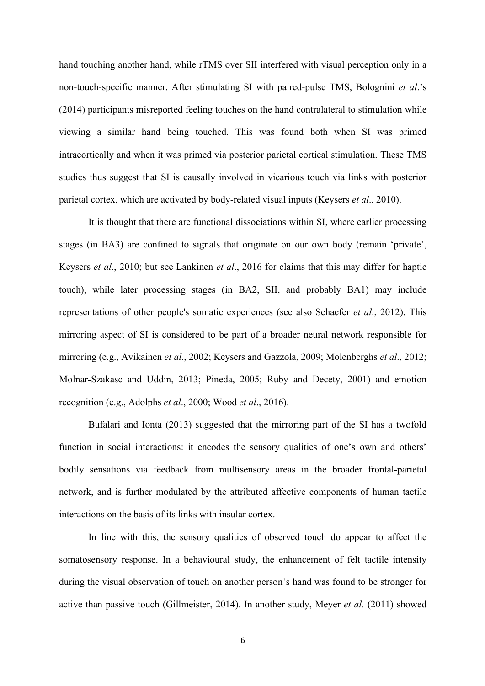hand touching another hand, while rTMS over SII interfered with visual perception only in a non-touch-specific manner. After stimulating SI with paired-pulse TMS, Bolognini *et al*.'s (2014) participants misreported feeling touches on the hand contralateral to stimulation while viewing a similar hand being touched. This was found both when SI was primed intracortically and when it was primed via posterior parietal cortical stimulation. These TMS studies thus suggest that SI is causally involved in vicarious touch via links with posterior parietal cortex, which are activated by body-related visual inputs (Keysers *et al*., 2010).

It is thought that there are functional dissociations within SI, where earlier processing stages (in BA3) are confined to signals that originate on our own body (remain 'private', Keysers *et al*., 2010; but see Lankinen *et al*., 2016 for claims that this may differ for haptic touch), while later processing stages (in BA2, SII, and probably BA1) may include representations of other people's somatic experiences (see also Schaefer *et al*., 2012). This mirroring aspect of SI is considered to be part of a broader neural network responsible for mirroring (e.g., Avikainen *et al*., 2002; Keysers and Gazzola, 2009; Molenberghs *et al*., 2012; Molnar-Szakasc and Uddin, 2013; Pineda, 2005; Ruby and Decety, 2001) and emotion recognition (e.g., Adolphs *et al*., 2000; Wood *et al*., 2016).

Bufalari and Ionta (2013) suggested that the mirroring part of the SI has a twofold function in social interactions: it encodes the sensory qualities of one's own and others' bodily sensations via feedback from multisensory areas in the broader frontal-parietal network, and is further modulated by the attributed affective components of human tactile interactions on the basis of its links with insular cortex.

In line with this, the sensory qualities of observed touch do appear to affect the somatosensory response. In a behavioural study, the enhancement of felt tactile intensity during the visual observation of touch on another person's hand was found to be stronger for active than passive touch (Gillmeister, 2014). In another study, Meyer *et al.* (2011) showed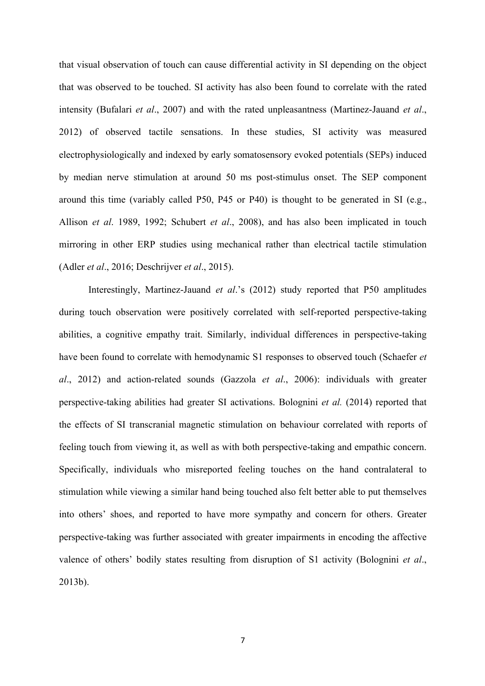that visual observation of touch can cause differential activity in SI depending on the object that was observed to be touched. SI activity has also been found to correlate with the rated intensity (Bufalari *et al*., 2007) and with the rated unpleasantness (Martinez-Jauand *et al*., 2012) of observed tactile sensations. In these studies, SI activity was measured electrophysiologically and indexed by early somatosensory evoked potentials (SEPs) induced by median nerve stimulation at around 50 ms post-stimulus onset. The SEP component around this time (variably called P50, P45 or P40) is thought to be generated in SI (e.g., Allison *et al*. 1989, 1992; Schubert *et al*., 2008), and has also been implicated in touch mirroring in other ERP studies using mechanical rather than electrical tactile stimulation (Adler *et al*., 2016; Deschrijver *et al*., 2015).

Interestingly, Martinez-Jauand *et al*.'s (2012) study reported that P50 amplitudes during touch observation were positively correlated with self-reported perspective-taking abilities, a cognitive empathy trait. Similarly, individual differences in perspective-taking have been found to correlate with hemodynamic S1 responses to observed touch (Schaefer *et al*., 2012) and action-related sounds (Gazzola *et al*., 2006): individuals with greater perspective-taking abilities had greater SI activations. Bolognini *et al.* (2014) reported that the effects of SI transcranial magnetic stimulation on behaviour correlated with reports of feeling touch from viewing it, as well as with both perspective-taking and empathic concern. Specifically, individuals who misreported feeling touches on the hand contralateral to stimulation while viewing a similar hand being touched also felt better able to put themselves into others' shoes, and reported to have more sympathy and concern for others. Greater perspective-taking was further associated with greater impairments in encoding the affective valence of others' bodily states resulting from disruption of S1 activity (Bolognini *et al*., 2013b).

7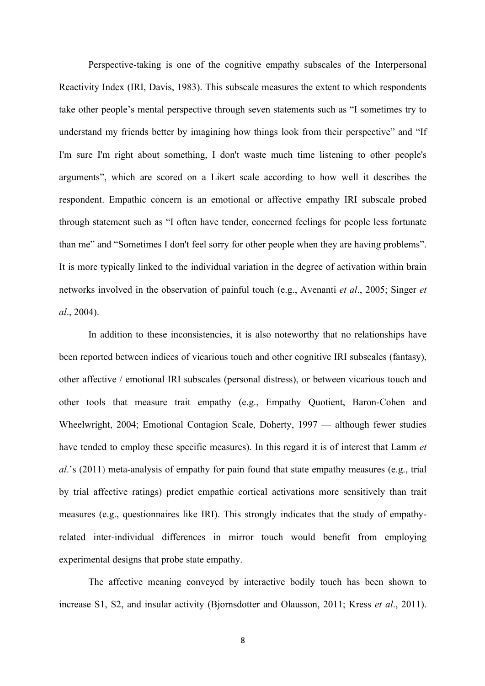Perspective-taking is one of the cognitive empathy subscales of the Interpersonal Reactivity Index (IRI, Davis, 1983). This subscale measures the extent to which respondents take other people's mental perspective through seven statements such as "I sometimes try to understand my friends better by imagining how things look from their perspective" and "If I'm sure I'm right about something, I don't waste much time listening to other people's arguments", which are scored on a Likert scale according to how well it describes the respondent. Empathic concern is an emotional or affective empathy IRI subscale probed through statement such as "I often have tender, concerned feelings for people less fortunate than me" and "Sometimes I don't feel sorry for other people when they are having problems". It is more typically linked to the individual variation in the degree of activation within brain networks involved in the observation of painful touch (e.g., Avenanti *et al*., 2005; Singer *et al*., 2004).

In addition to these inconsistencies, it is also noteworthy that no relationships have been reported between indices of vicarious touch and other cognitive IRI subscales (fantasy), other affective / emotional IRI subscales (personal distress), or between vicarious touch and other tools that measure trait empathy (e.g., Empathy Quotient, Baron-Cohen and Wheelwright, 2004; Emotional Contagion Scale, Doherty, 1997 — although fewer studies have tended to employ these specific measures). In this regard it is of interest that Lamm *et al*.'s (2011) meta-analysis of empathy for pain found that state empathy measures (e.g., trial by trial affective ratings) predict empathic cortical activations more sensitively than trait measures (e.g., questionnaires like IRI). This strongly indicates that the study of empathyrelated inter-individual differences in mirror touch would benefit from employing experimental designs that probe state empathy.

The affective meaning conveyed by interactive bodily touch has been shown to increase S1, S2, and insular activity (Bjornsdotter and Olausson, 2011; Kress *et al*., 2011).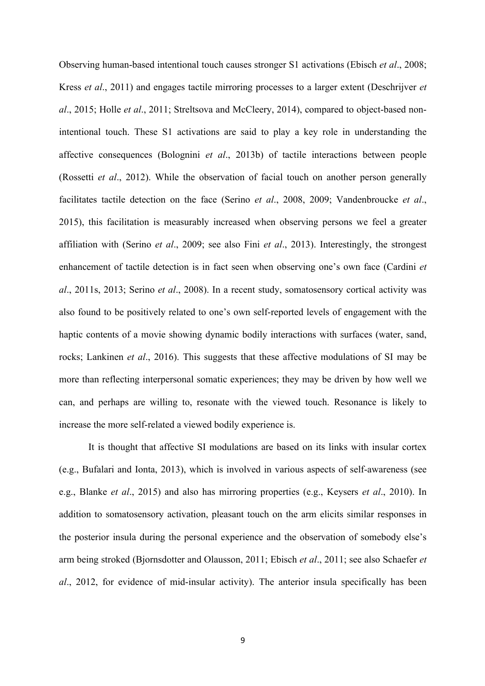Observing human-based intentional touch causes stronger S1 activations (Ebisch *et al*., 2008; Kress *et al*., 2011) and engages tactile mirroring processes to a larger extent (Deschrijver *et al*., 2015; Holle *et al*., 2011; Streltsova and McCleery, 2014), compared to object-based nonintentional touch. These S1 activations are said to play a key role in understanding the affective consequences (Bolognini *et al*., 2013b) of tactile interactions between people (Rossetti *et al*., 2012). While the observation of facial touch on another person generally facilitates tactile detection on the face (Serino *et al*., 2008, 2009; Vandenbroucke *et al*., 2015), this facilitation is measurably increased when observing persons we feel a greater affiliation with (Serino *et al*., 2009; see also Fini *et al*., 2013). Interestingly, the strongest enhancement of tactile detection is in fact seen when observing one's own face (Cardini *et al*., 2011s, 2013; Serino *et al*., 2008). In a recent study, somatosensory cortical activity was also found to be positively related to one's own self-reported levels of engagement with the haptic contents of a movie showing dynamic bodily interactions with surfaces (water, sand, rocks; Lankinen *et al*., 2016). This suggests that these affective modulations of SI may be more than reflecting interpersonal somatic experiences; they may be driven by how well we can, and perhaps are willing to, resonate with the viewed touch. Resonance is likely to increase the more self-related a viewed bodily experience is.

It is thought that affective SI modulations are based on its links with insular cortex (e.g., Bufalari and Ionta, 2013), which is involved in various aspects of self-awareness (see e.g., Blanke *et al*., 2015) and also has mirroring properties (e.g., Keysers *et al*., 2010). In addition to somatosensory activation, pleasant touch on the arm elicits similar responses in the posterior insula during the personal experience and the observation of somebody else's arm being stroked (Bjornsdotter and Olausson, 2011; Ebisch *et al*., 2011; see also Schaefer *et al*., 2012, for evidence of mid-insular activity). The anterior insula specifically has been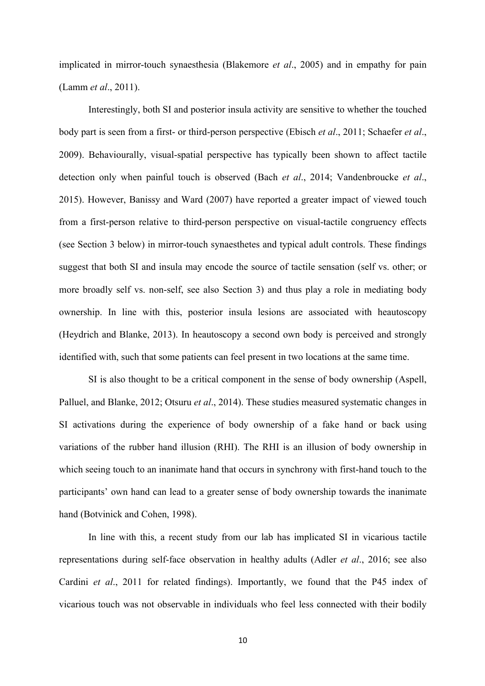implicated in mirror-touch synaesthesia (Blakemore *et al*., 2005) and in empathy for pain (Lamm *et al*., 2011).

Interestingly, both SI and posterior insula activity are sensitive to whether the touched body part is seen from a first- or third-person perspective (Ebisch *et al*., 2011; Schaefer *et al*., 2009). Behaviourally, visual-spatial perspective has typically been shown to affect tactile detection only when painful touch is observed (Bach *et al*., 2014; Vandenbroucke *et al*., 2015). However, Banissy and Ward (2007) have reported a greater impact of viewed touch from a first-person relative to third-person perspective on visual-tactile congruency effects (see Section 3 below) in mirror-touch synaesthetes and typical adult controls. These findings suggest that both SI and insula may encode the source of tactile sensation (self vs. other; or more broadly self vs. non-self, see also Section 3) and thus play a role in mediating body ownership. In line with this, posterior insula lesions are associated with heautoscopy (Heydrich and Blanke, 2013). In heautoscopy a second own body is perceived and strongly identified with, such that some patients can feel present in two locations at the same time.

SI is also thought to be a critical component in the sense of body ownership (Aspell, Palluel, and Blanke, 2012; Otsuru *et al*., 2014). These studies measured systematic changes in SI activations during the experience of body ownership of a fake hand or back using variations of the rubber hand illusion (RHI). The RHI is an illusion of body ownership in which seeing touch to an inanimate hand that occurs in synchrony with first-hand touch to the participants' own hand can lead to a greater sense of body ownership towards the inanimate hand (Botvinick and Cohen, 1998).

In line with this, a recent study from our lab has implicated SI in vicarious tactile representations during self-face observation in healthy adults (Adler *et al*., 2016; see also Cardini *et al*., 2011 for related findings). Importantly, we found that the P45 index of vicarious touch was not observable in individuals who feel less connected with their bodily

10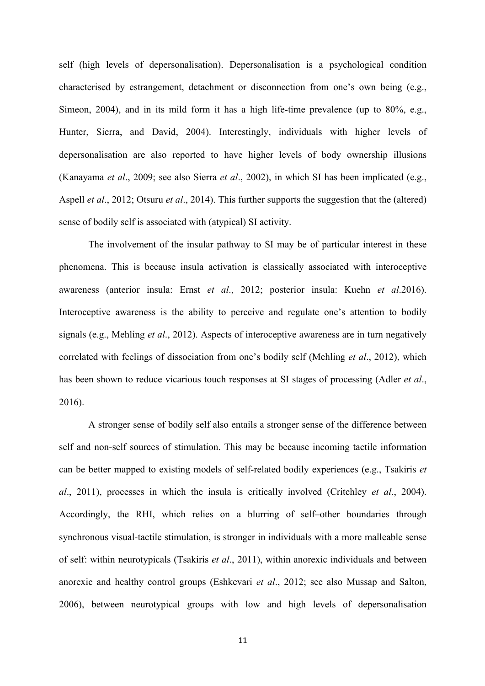self (high levels of depersonalisation). Depersonalisation is a psychological condition characterised by estrangement, detachment or disconnection from one's own being (e.g., Simeon, 2004), and in its mild form it has a high life-time prevalence (up to 80%, e.g., Hunter, Sierra, and David, 2004). Interestingly, individuals with higher levels of depersonalisation are also reported to have higher levels of body ownership illusions (Kanayama *et al*., 2009; see also Sierra *et al*., 2002), in which SI has been implicated (e.g., Aspell *et al*., 2012; Otsuru *et al*., 2014). This further supports the suggestion that the (altered) sense of bodily self is associated with (atypical) SI activity.

The involvement of the insular pathway to SI may be of particular interest in these phenomena. This is because insula activation is classically associated with interoceptive awareness (anterior insula: Ernst *et al*., 2012; posterior insula: Kuehn *et al*.2016). Interoceptive awareness is the ability to perceive and regulate one's attention to bodily signals (e.g., Mehling *et al*., 2012). Aspects of interoceptive awareness are in turn negatively correlated with feelings of dissociation from one's bodily self (Mehling *et al*., 2012), which has been shown to reduce vicarious touch responses at SI stages of processing (Adler *et al*., 2016).

A stronger sense of bodily self also entails a stronger sense of the difference between self and non-self sources of stimulation. This may be because incoming tactile information can be better mapped to existing models of self-related bodily experiences (e.g., Tsakiris *et al*., 2011), processes in which the insula is critically involved (Critchley *et al*., 2004). Accordingly, the RHI, which relies on a blurring of self–other boundaries through synchronous visual-tactile stimulation, is stronger in individuals with a more malleable sense of self: within neurotypicals (Tsakiris *et al*., 2011), within anorexic individuals and between anorexic and healthy control groups (Eshkevari *et al*., 2012; see also Mussap and Salton, 2006), between neurotypical groups with low and high levels of depersonalisation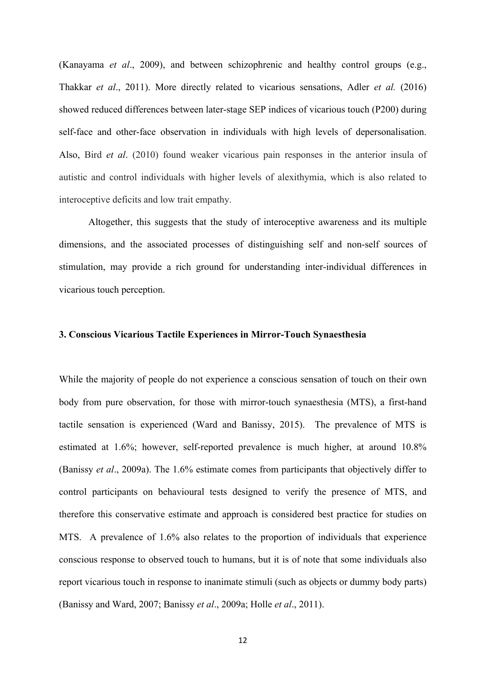(Kanayama *et al*., 2009), and between schizophrenic and healthy control groups (e.g., Thakkar *et al*., 2011). More directly related to vicarious sensations, Adler *et al.* (2016) showed reduced differences between later-stage SEP indices of vicarious touch (P200) during self-face and other-face observation in individuals with high levels of depersonalisation. Also, Bird *et al*. (2010) found weaker vicarious pain responses in the anterior insula of autistic and control individuals with higher levels of alexithymia, which is also related to interoceptive deficits and low trait empathy.

Altogether, this suggests that the study of interoceptive awareness and its multiple dimensions, and the associated processes of distinguishing self and non-self sources of stimulation, may provide a rich ground for understanding inter-individual differences in vicarious touch perception.

## **3. Conscious Vicarious Tactile Experiences in Mirror-Touch Synaesthesia**

While the majority of people do not experience a conscious sensation of touch on their own body from pure observation, for those with mirror-touch synaesthesia (MTS), a first-hand tactile sensation is experienced (Ward and Banissy, 2015). The prevalence of MTS is estimated at 1.6%; however, self-reported prevalence is much higher, at around 10.8% (Banissy *et al*., 2009a). The 1.6% estimate comes from participants that objectively differ to control participants on behavioural tests designed to verify the presence of MTS, and therefore this conservative estimate and approach is considered best practice for studies on MTS. A prevalence of 1.6% also relates to the proportion of individuals that experience conscious response to observed touch to humans, but it is of note that some individuals also report vicarious touch in response to inanimate stimuli (such as objects or dummy body parts) (Banissy and Ward, 2007; Banissy *et al*., 2009a; Holle *et al*., 2011).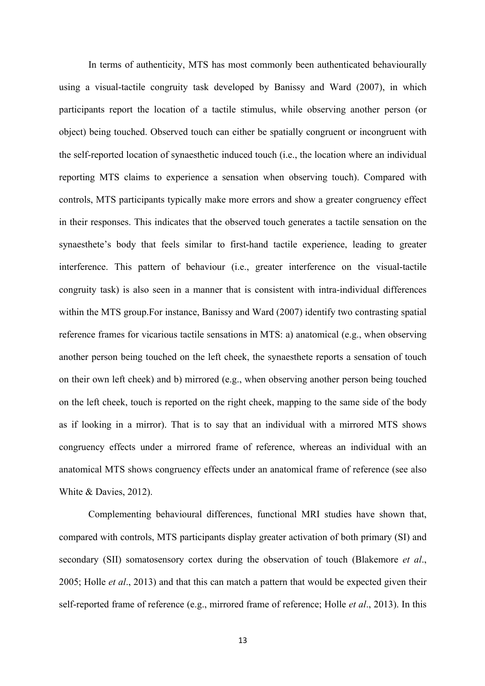In terms of authenticity, MTS has most commonly been authenticated behaviourally using a visual-tactile congruity task developed by Banissy and Ward (2007), in which participants report the location of a tactile stimulus, while observing another person (or object) being touched. Observed touch can either be spatially congruent or incongruent with the self-reported location of synaesthetic induced touch (i.e., the location where an individual reporting MTS claims to experience a sensation when observing touch). Compared with controls, MTS participants typically make more errors and show a greater congruency effect in their responses. This indicates that the observed touch generates a tactile sensation on the synaesthete's body that feels similar to first-hand tactile experience, leading to greater interference. This pattern of behaviour (i.e., greater interference on the visual-tactile congruity task) is also seen in a manner that is consistent with intra-individual differences within the MTS group.For instance, Banissy and Ward (2007) identify two contrasting spatial reference frames for vicarious tactile sensations in MTS: a) anatomical (e.g., when observing another person being touched on the left cheek, the synaesthete reports a sensation of touch on their own left cheek) and b) mirrored (e.g., when observing another person being touched on the left cheek, touch is reported on the right cheek, mapping to the same side of the body as if looking in a mirror). That is to say that an individual with a mirrored MTS shows congruency effects under a mirrored frame of reference, whereas an individual with an anatomical MTS shows congruency effects under an anatomical frame of reference (see also White & Davies, 2012).

Complementing behavioural differences, functional MRI studies have shown that, compared with controls, MTS participants display greater activation of both primary (SI) and secondary (SII) somatosensory cortex during the observation of touch (Blakemore *et al*., 2005; Holle *et al*., 2013) and that this can match a pattern that would be expected given their self-reported frame of reference (e.g., mirrored frame of reference; Holle *et al*., 2013). In this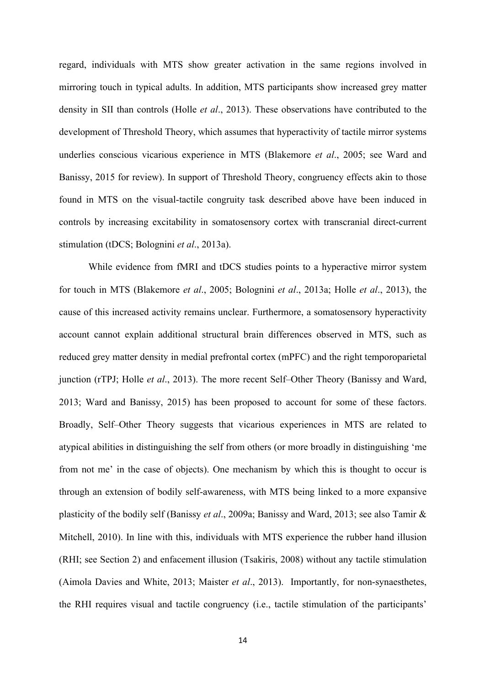regard, individuals with MTS show greater activation in the same regions involved in mirroring touch in typical adults. In addition, MTS participants show increased grey matter density in SII than controls (Holle *et al*., 2013). These observations have contributed to the development of Threshold Theory, which assumes that hyperactivity of tactile mirror systems underlies conscious vicarious experience in MTS (Blakemore *et al*., 2005; see Ward and Banissy, 2015 for review). In support of Threshold Theory, congruency effects akin to those found in MTS on the visual-tactile congruity task described above have been induced in controls by increasing excitability in somatosensory cortex with transcranial direct-current stimulation (tDCS; Bolognini *et al*., 2013a).

While evidence from fMRI and tDCS studies points to a hyperactive mirror system for touch in MTS (Blakemore *et al*., 2005; Bolognini *et al*., 2013a; Holle *et al*., 2013), the cause of this increased activity remains unclear. Furthermore, a somatosensory hyperactivity account cannot explain additional structural brain differences observed in MTS, such as reduced grey matter density in medial prefrontal cortex (mPFC) and the right temporoparietal junction (rTPJ; Holle *et al*., 2013). The more recent Self–Other Theory (Banissy and Ward, 2013; Ward and Banissy, 2015) has been proposed to account for some of these factors. Broadly, Self–Other Theory suggests that vicarious experiences in MTS are related to atypical abilities in distinguishing the self from others (or more broadly in distinguishing 'me from not me' in the case of objects). One mechanism by which this is thought to occur is through an extension of bodily self-awareness, with MTS being linked to a more expansive plasticity of the bodily self (Banissy *et al*., 2009a; Banissy and Ward, 2013; see also Tamir & Mitchell, 2010). In line with this, individuals with MTS experience the rubber hand illusion (RHI; see Section 2) and enfacement illusion (Tsakiris, 2008) without any tactile stimulation (Aimola Davies and White, 2013; Maister *et al*., 2013). Importantly, for non-synaesthetes, the RHI requires visual and tactile congruency (i.e., tactile stimulation of the participants'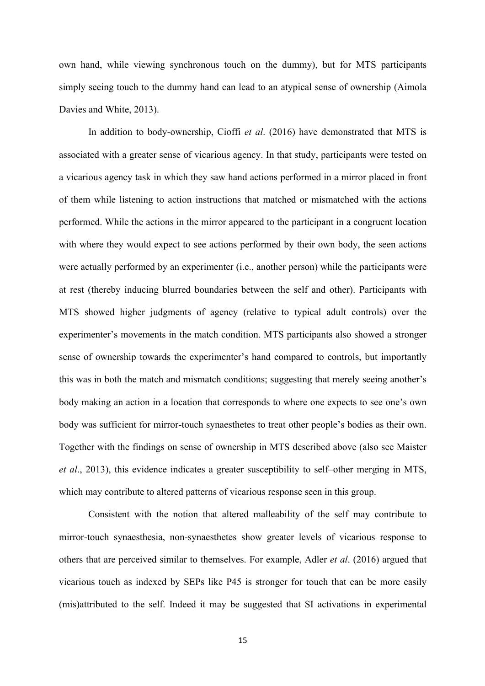own hand, while viewing synchronous touch on the dummy), but for MTS participants simply seeing touch to the dummy hand can lead to an atypical sense of ownership (Aimola Davies and White, 2013).

In addition to body-ownership, Cioffi *et al*. (2016) have demonstrated that MTS is associated with a greater sense of vicarious agency. In that study, participants were tested on a vicarious agency task in which they saw hand actions performed in a mirror placed in front of them while listening to action instructions that matched or mismatched with the actions performed. While the actions in the mirror appeared to the participant in a congruent location with where they would expect to see actions performed by their own body, the seen actions were actually performed by an experimenter (i.e., another person) while the participants were at rest (thereby inducing blurred boundaries between the self and other). Participants with MTS showed higher judgments of agency (relative to typical adult controls) over the experimenter's movements in the match condition. MTS participants also showed a stronger sense of ownership towards the experimenter's hand compared to controls, but importantly this was in both the match and mismatch conditions; suggesting that merely seeing another's body making an action in a location that corresponds to where one expects to see one's own body was sufficient for mirror-touch synaesthetes to treat other people's bodies as their own. Together with the findings on sense of ownership in MTS described above (also see Maister *et al*., 2013), this evidence indicates a greater susceptibility to self–other merging in MTS, which may contribute to altered patterns of vicarious response seen in this group.

Consistent with the notion that altered malleability of the self may contribute to mirror-touch synaesthesia, non-synaesthetes show greater levels of vicarious response to others that are perceived similar to themselves. For example, Adler *et al*. (2016) argued that vicarious touch as indexed by SEPs like P45 is stronger for touch that can be more easily (mis)attributed to the self. Indeed it may be suggested that SI activations in experimental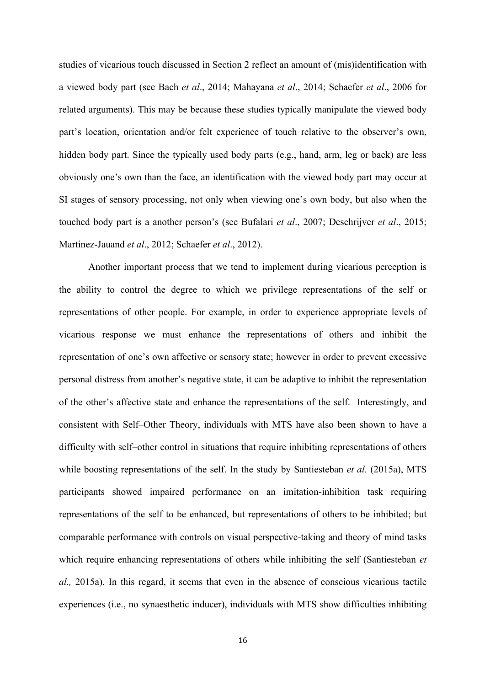studies of vicarious touch discussed in Section 2 reflect an amount of (mis)identification with a viewed body part (see Bach *et al*., 2014; Mahayana *et al*., 2014; Schaefer *et al*., 2006 for related arguments). This may be because these studies typically manipulate the viewed body part's location, orientation and/or felt experience of touch relative to the observer's own, hidden body part. Since the typically used body parts (e.g., hand, arm, leg or back) are less obviously one's own than the face, an identification with the viewed body part may occur at SI stages of sensory processing, not only when viewing one's own body, but also when the touched body part is a another person's (see Bufalari *et al*., 2007; Deschrijver *et al*., 2015; Martinez-Jauand *et al*., 2012; Schaefer *et al*., 2012).

Another important process that we tend to implement during vicarious perception is the ability to control the degree to which we privilege representations of the self or representations of other people. For example, in order to experience appropriate levels of vicarious response we must enhance the representations of others and inhibit the representation of one's own affective or sensory state; however in order to prevent excessive personal distress from another's negative state, it can be adaptive to inhibit the representation of the other's affective state and enhance the representations of the self. Interestingly, and consistent with Self–Other Theory, individuals with MTS have also been shown to have a difficulty with self–other control in situations that require inhibiting representations of others while boosting representations of the self. In the study by Santiesteban *et al.* (2015a), MTS participants showed impaired performance on an imitation-inhibition task requiring representations of the self to be enhanced, but representations of others to be inhibited; but comparable performance with controls on visual perspective-taking and theory of mind tasks which require enhancing representations of others while inhibiting the self (Santiesteban *et al.,* 2015a). In this regard, it seems that even in the absence of conscious vicarious tactile experiences (i.e., no synaesthetic inducer), individuals with MTS show difficulties inhibiting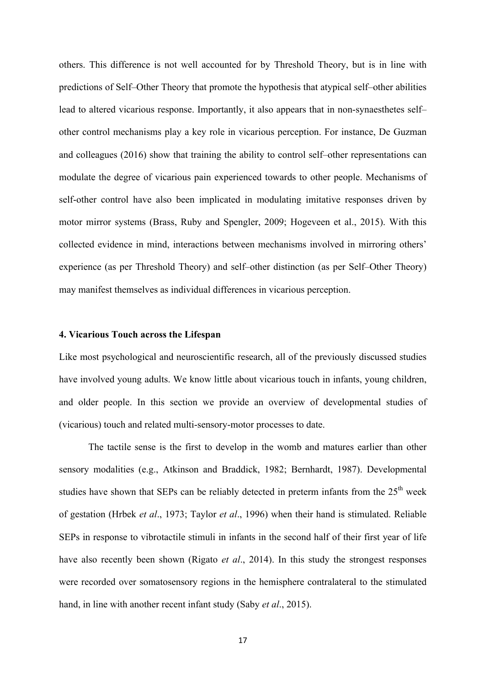others. This difference is not well accounted for by Threshold Theory, but is in line with predictions of Self–Other Theory that promote the hypothesis that atypical self–other abilities lead to altered vicarious response. Importantly, it also appears that in non-synaesthetes self– other control mechanisms play a key role in vicarious perception. For instance, De Guzman and colleagues (2016) show that training the ability to control self–other representations can modulate the degree of vicarious pain experienced towards to other people. Mechanisms of self-other control have also been implicated in modulating imitative responses driven by motor mirror systems (Brass, Ruby and Spengler, 2009; Hogeveen et al., 2015). With this collected evidence in mind, interactions between mechanisms involved in mirroring others' experience (as per Threshold Theory) and self–other distinction (as per Self–Other Theory) may manifest themselves as individual differences in vicarious perception.

## **4. Vicarious Touch across the Lifespan**

Like most psychological and neuroscientific research, all of the previously discussed studies have involved young adults. We know little about vicarious touch in infants, young children, and older people. In this section we provide an overview of developmental studies of (vicarious) touch and related multi-sensory-motor processes to date.

The tactile sense is the first to develop in the womb and matures earlier than other sensory modalities (e.g., Atkinson and Braddick, 1982; Bernhardt, 1987). Developmental studies have shown that SEPs can be reliably detected in preterm infants from the  $25<sup>th</sup>$  week of gestation (Hrbek *et al*., 1973; Taylor *et al*., 1996) when their hand is stimulated. Reliable SEPs in response to vibrotactile stimuli in infants in the second half of their first year of life have also recently been shown (Rigato *et al*., 2014). In this study the strongest responses were recorded over somatosensory regions in the hemisphere contralateral to the stimulated hand, in line with another recent infant study (Saby *et al*., 2015).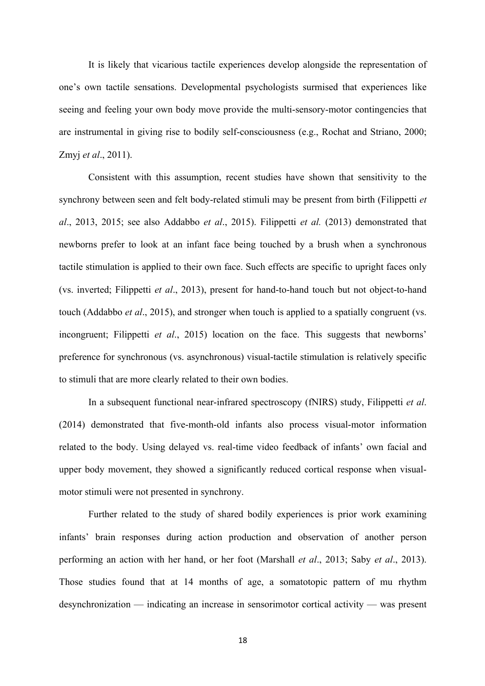It is likely that vicarious tactile experiences develop alongside the representation of one's own tactile sensations. Developmental psychologists surmised that experiences like seeing and feeling your own body move provide the multi-sensory-motor contingencies that are instrumental in giving rise to bodily self-consciousness (e.g., Rochat and Striano, 2000; Zmyj *et al*., 2011).

Consistent with this assumption, recent studies have shown that sensitivity to the synchrony between seen and felt body-related stimuli may be present from birth (Filippetti *et al*., 2013, 2015; see also Addabbo *et al*., 2015). Filippetti *et al.* (2013) demonstrated that newborns prefer to look at an infant face being touched by a brush when a synchronous tactile stimulation is applied to their own face. Such effects are specific to upright faces only (vs. inverted; Filippetti *et al*., 2013), present for hand-to-hand touch but not object-to-hand touch (Addabbo *et al*., 2015), and stronger when touch is applied to a spatially congruent (vs. incongruent; Filippetti *et al*., 2015) location on the face. This suggests that newborns' preference for synchronous (vs. asynchronous) visual-tactile stimulation is relatively specific to stimuli that are more clearly related to their own bodies.

In a subsequent functional near-infrared spectroscopy (fNIRS) study, Filippetti *et al*. (2014) demonstrated that five-month-old infants also process visual-motor information related to the body. Using delayed vs. real-time video feedback of infants' own facial and upper body movement, they showed a significantly reduced cortical response when visualmotor stimuli were not presented in synchrony.

Further related to the study of shared bodily experiences is prior work examining infants' brain responses during action production and observation of another person performing an action with her hand, or her foot (Marshall *et al*., 2013; Saby *et al*., 2013). Those studies found that at 14 months of age, a somatotopic pattern of mu rhythm desynchronization — indicating an increase in sensorimotor cortical activity — was present

18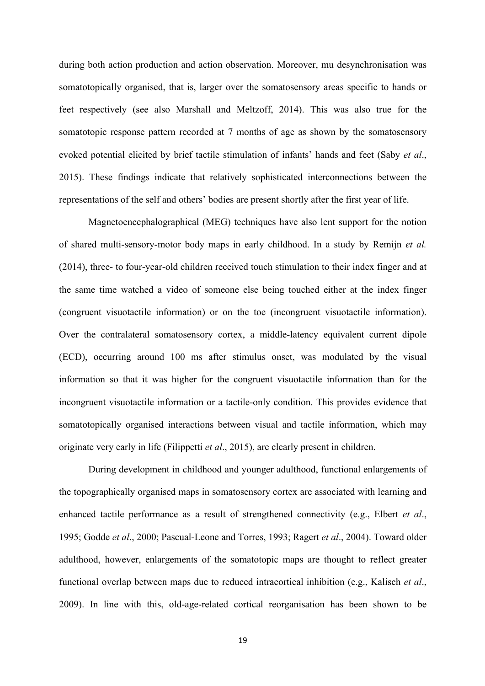during both action production and action observation. Moreover, mu desynchronisation was somatotopically organised, that is, larger over the somatosensory areas specific to hands or feet respectively (see also Marshall and Meltzoff, 2014). This was also true for the somatotopic response pattern recorded at 7 months of age as shown by the somatosensory evoked potential elicited by brief tactile stimulation of infants' hands and feet (Saby *et al*., 2015). These findings indicate that relatively sophisticated interconnections between the representations of the self and others' bodies are present shortly after the first year of life.

Magnetoencephalographical (MEG) techniques have also lent support for the notion of shared multi-sensory-motor body maps in early childhood. In a study by Remijn *et al.*  (2014), three- to four-year-old children received touch stimulation to their index finger and at the same time watched a video of someone else being touched either at the index finger (congruent visuotactile information) or on the toe (incongruent visuotactile information). Over the contralateral somatosensory cortex, a middle-latency equivalent current dipole (ECD), occurring around 100 ms after stimulus onset, was modulated by the visual information so that it was higher for the congruent visuotactile information than for the incongruent visuotactile information or a tactile-only condition. This provides evidence that somatotopically organised interactions between visual and tactile information, which may originate very early in life (Filippetti *et al*., 2015), are clearly present in children.

During development in childhood and younger adulthood, functional enlargements of the topographically organised maps in somatosensory cortex are associated with learning and enhanced tactile performance as a result of strengthened connectivity (e.g., Elbert *et al*., 1995; Godde *et al*., 2000; Pascual-Leone and Torres, 1993; Ragert *et al*., 2004). Toward older adulthood, however, enlargements of the somatotopic maps are thought to reflect greater functional overlap between maps due to reduced intracortical inhibition (e.g., Kalisch *et al*., 2009). In line with this, old-age-related cortical reorganisation has been shown to be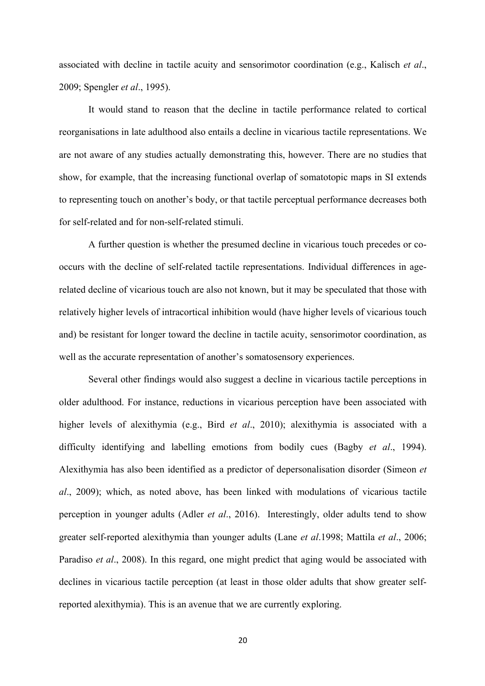associated with decline in tactile acuity and sensorimotor coordination (e.g., Kalisch *et al*., 2009; Spengler *et al*., 1995).

It would stand to reason that the decline in tactile performance related to cortical reorganisations in late adulthood also entails a decline in vicarious tactile representations. We are not aware of any studies actually demonstrating this, however. There are no studies that show, for example, that the increasing functional overlap of somatotopic maps in SI extends to representing touch on another's body, or that tactile perceptual performance decreases both for self-related and for non-self-related stimuli.

A further question is whether the presumed decline in vicarious touch precedes or cooccurs with the decline of self-related tactile representations. Individual differences in agerelated decline of vicarious touch are also not known, but it may be speculated that those with relatively higher levels of intracortical inhibition would (have higher levels of vicarious touch and) be resistant for longer toward the decline in tactile acuity, sensorimotor coordination, as well as the accurate representation of another's somatosensory experiences.

Several other findings would also suggest a decline in vicarious tactile perceptions in older adulthood. For instance, reductions in vicarious perception have been associated with higher levels of alexithymia (e.g., Bird *et al*., 2010); alexithymia is associated with a difficulty identifying and labelling emotions from bodily cues (Bagby *et al*., 1994). Alexithymia has also been identified as a predictor of depersonalisation disorder (Simeon *et al*., 2009); which, as noted above, has been linked with modulations of vicarious tactile perception in younger adults (Adler *et al*., 2016). Interestingly, older adults tend to show greater self-reported alexithymia than younger adults (Lane *et al*.1998; Mattila *et al*., 2006; Paradiso *et al*., 2008). In this regard, one might predict that aging would be associated with declines in vicarious tactile perception (at least in those older adults that show greater selfreported alexithymia). This is an avenue that we are currently exploring.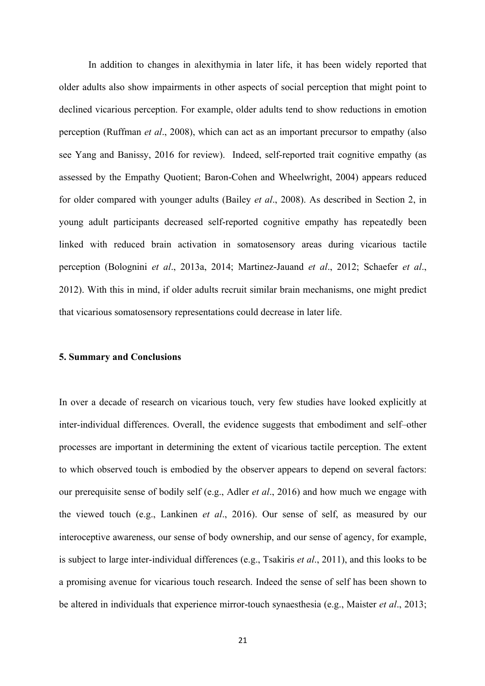In addition to changes in alexithymia in later life, it has been widely reported that older adults also show impairments in other aspects of social perception that might point to declined vicarious perception. For example, older adults tend to show reductions in emotion perception (Ruffman *et al*., 2008), which can act as an important precursor to empathy (also see Yang and Banissy, 2016 for review). Indeed, self-reported trait cognitive empathy (as assessed by the Empathy Quotient; Baron-Cohen and Wheelwright, 2004) appears reduced for older compared with younger adults (Bailey *et al*., 2008). As described in Section 2, in young adult participants decreased self-reported cognitive empathy has repeatedly been linked with reduced brain activation in somatosensory areas during vicarious tactile perception (Bolognini *et al*., 2013a, 2014; Martinez-Jauand *et al*., 2012; Schaefer *et al*., 2012). With this in mind, if older adults recruit similar brain mechanisms, one might predict that vicarious somatosensory representations could decrease in later life.

#### **5. Summary and Conclusions**

In over a decade of research on vicarious touch, very few studies have looked explicitly at inter-individual differences. Overall, the evidence suggests that embodiment and self–other processes are important in determining the extent of vicarious tactile perception. The extent to which observed touch is embodied by the observer appears to depend on several factors: our prerequisite sense of bodily self (e.g., Adler *et al*., 2016) and how much we engage with the viewed touch (e.g., Lankinen *et al*., 2016). Our sense of self, as measured by our interoceptive awareness, our sense of body ownership, and our sense of agency, for example, is subject to large inter-individual differences (e.g., Tsakiris *et al*., 2011), and this looks to be a promising avenue for vicarious touch research. Indeed the sense of self has been shown to be altered in individuals that experience mirror-touch synaesthesia (e.g., Maister *et al*., 2013;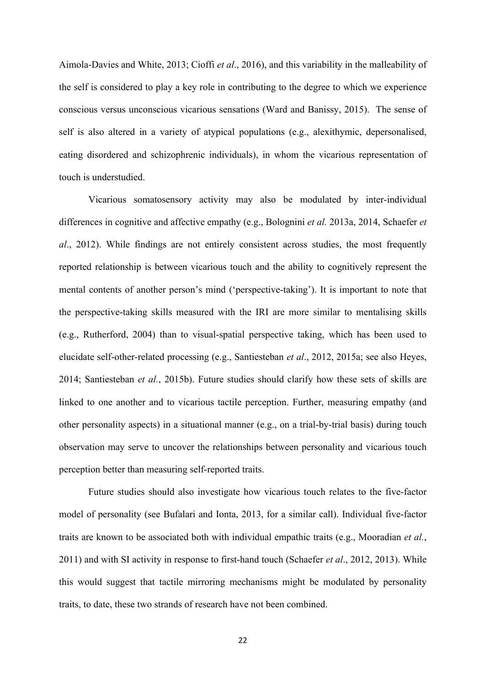Aimola-Davies and White, 2013; Cioffi *et al*., 2016), and this variability in the malleability of the self is considered to play a key role in contributing to the degree to which we experience conscious versus unconscious vicarious sensations (Ward and Banissy, 2015). The sense of self is also altered in a variety of atypical populations (e.g., alexithymic, depersonalised, eating disordered and schizophrenic individuals), in whom the vicarious representation of touch is understudied.

Vicarious somatosensory activity may also be modulated by inter-individual differences in cognitive and affective empathy (e.g., Bolognini *et al.* 2013a, 2014, Schaefer *et al*., 2012). While findings are not entirely consistent across studies, the most frequently reported relationship is between vicarious touch and the ability to cognitively represent the mental contents of another person's mind ('perspective-taking'). It is important to note that the perspective-taking skills measured with the IRI are more similar to mentalising skills (e.g., Rutherford, 2004) than to visual-spatial perspective taking, which has been used to elucidate self-other-related processing (e.g., Santiesteban *et al*., 2012, 2015a; see also Heyes, 2014; Santiesteban *et al.*, 2015b). Future studies should clarify how these sets of skills are linked to one another and to vicarious tactile perception. Further, measuring empathy (and other personality aspects) in a situational manner (e.g., on a trial-by-trial basis) during touch observation may serve to uncover the relationships between personality and vicarious touch perception better than measuring self-reported traits.

Future studies should also investigate how vicarious touch relates to the five-factor model of personality (see Bufalari and Ionta, 2013, for a similar call). Individual five-factor traits are known to be associated both with individual empathic traits (e.g., Mooradian *et al.*, 2011) and with SI activity in response to first-hand touch (Schaefer *et al*., 2012, 2013). While this would suggest that tactile mirroring mechanisms might be modulated by personality traits, to date, these two strands of research have not been combined.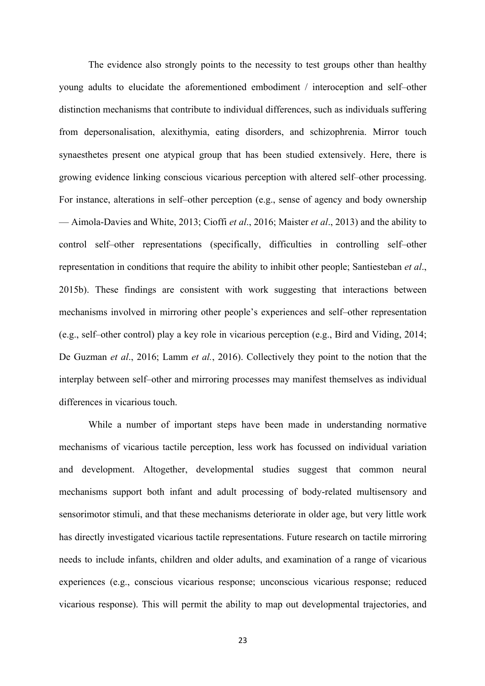The evidence also strongly points to the necessity to test groups other than healthy young adults to elucidate the aforementioned embodiment / interoception and self–other distinction mechanisms that contribute to individual differences, such as individuals suffering from depersonalisation, alexithymia, eating disorders, and schizophrenia. Mirror touch synaesthetes present one atypical group that has been studied extensively. Here, there is growing evidence linking conscious vicarious perception with altered self–other processing. For instance, alterations in self–other perception (e.g., sense of agency and body ownership — Aimola-Davies and White, 2013; Cioffi *et al*., 2016; Maister *et al*., 2013) and the ability to control self–other representations (specifically, difficulties in controlling self–other representation in conditions that require the ability to inhibit other people; Santiesteban *et al*., 2015b). These findings are consistent with work suggesting that interactions between mechanisms involved in mirroring other people's experiences and self–other representation (e.g., self–other control) play a key role in vicarious perception (e.g., Bird and Viding, 2014; De Guzman *et al*., 2016; Lamm *et al.*, 2016). Collectively they point to the notion that the interplay between self–other and mirroring processes may manifest themselves as individual differences in vicarious touch.

While a number of important steps have been made in understanding normative mechanisms of vicarious tactile perception, less work has focussed on individual variation and development. Altogether, developmental studies suggest that common neural mechanisms support both infant and adult processing of body-related multisensory and sensorimotor stimuli, and that these mechanisms deteriorate in older age, but very little work has directly investigated vicarious tactile representations. Future research on tactile mirroring needs to include infants, children and older adults, and examination of a range of vicarious experiences (e.g., conscious vicarious response; unconscious vicarious response; reduced vicarious response). This will permit the ability to map out developmental trajectories, and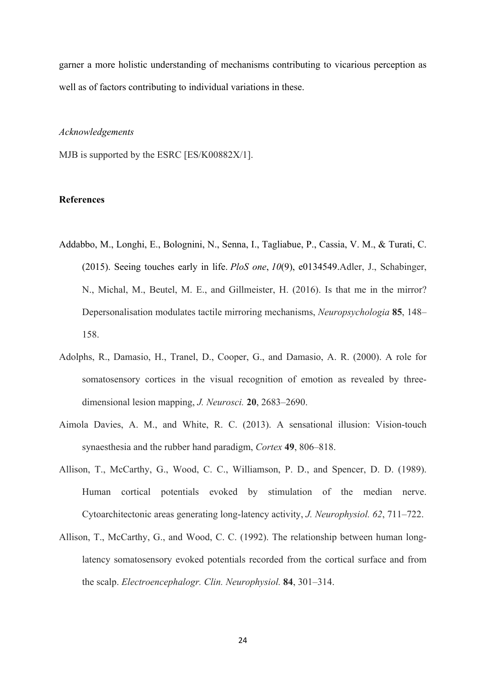garner a more holistic understanding of mechanisms contributing to vicarious perception as well as of factors contributing to individual variations in these.

#### *Acknowledgements*

MJB is supported by the ESRC [ES/K00882X/1].

## **References**

- Addabbo, M., Longhi, E., Bolognini, N., Senna, I., Tagliabue, P., Cassia, V. M., & Turati, C. (2015). Seeing touches early in life. *PloS one*, *10*(9), e0134549.Adler, J., Schabinger, N., Michal, M., Beutel, M. E., and Gillmeister, H. (2016). Is that me in the mirror? Depersonalisation modulates tactile mirroring mechanisms, *Neuropsychologia* **85**, 148– 158.
- Adolphs, R., Damasio, H., Tranel, D., Cooper, G., and Damasio, A. R. (2000). A role for somatosensory cortices in the visual recognition of emotion as revealed by threedimensional lesion mapping, *J. Neurosci.* **20**, 2683–2690.
- Aimola Davies, A. M., and White, R. C. (2013). A sensational illusion: Vision-touch synaesthesia and the rubber hand paradigm, *Cortex* **49**, 806–818.
- Allison, T., McCarthy, G., Wood, C. C., Williamson, P. D., and Spencer, D. D. (1989). Human cortical potentials evoked by stimulation of the median nerve. Cytoarchitectonic areas generating long-latency activity, *J. Neurophysiol. 62*, 711–722.
- Allison, T., McCarthy, G., and Wood, C. C. (1992). The relationship between human longlatency somatosensory evoked potentials recorded from the cortical surface and from the scalp. *Electroencephalogr. Clin. Neurophysiol.* **84**, 301–314.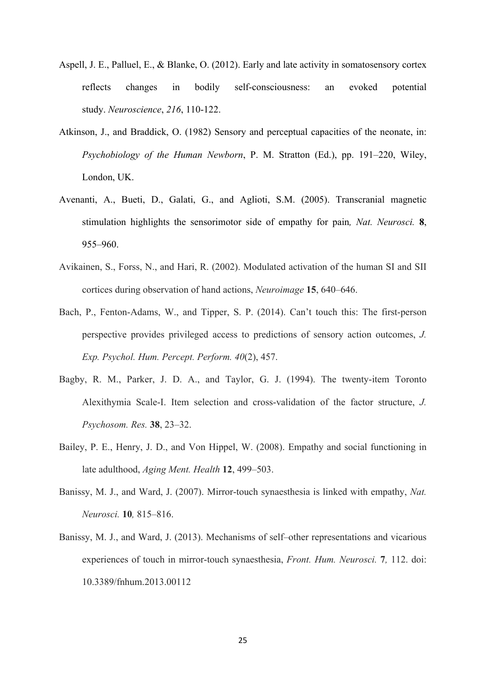- Aspell, J. E., Palluel, E., & Blanke, O. (2012). Early and late activity in somatosensory cortex reflects changes in bodily self-consciousness: an evoked potential study. *Neuroscience*, *216*, 110-122.
- Atkinson, J., and Braddick, O. (1982) Sensory and perceptual capacities of the neonate, in: *Psychobiology of the Human Newborn*, P. M. Stratton (Ed.), pp. 191–220, Wiley, London, UK.
- Avenanti, A., Bueti, D., Galati, G., and Aglioti, S.M. (2005). Transcranial magnetic stimulation highlights the sensorimotor side of empathy for pain*, Nat. Neurosci.* **8**, 955–960.
- Avikainen, S., Forss, N., and Hari, R. (2002). Modulated activation of the human SI and SII cortices during observation of hand actions, *Neuroimage* **15**, 640–646.
- Bach, P., Fenton-Adams, W., and Tipper, S. P. (2014). Can't touch this: The first-person perspective provides privileged access to predictions of sensory action outcomes, *J. Exp. Psychol. Hum. Percept. Perform. 40*(2), 457.
- Bagby, R. M., Parker, J. D. A., and Taylor, G. J. (1994). The twenty-item Toronto Alexithymia Scale-I. Item selection and cross-validation of the factor structure, *J. Psychosom. Res.* **38**, 23–32.
- Bailey, P. E., Henry, J. D., and Von Hippel, W. (2008). Empathy and social functioning in late adulthood, *Aging Ment. Health* **12**, 499–503.
- Banissy, M. J., and Ward, J. (2007). Mirror-touch synaesthesia is linked with empathy, *Nat. Neurosci.* **10***,* 815–816.
- Banissy, M. J., and Ward, J. (2013). Mechanisms of self–other representations and vicarious experiences of touch in mirror-touch synaesthesia, *Front. Hum. Neurosci.* **7***,* 112. doi: 10.3389/fnhum.2013.00112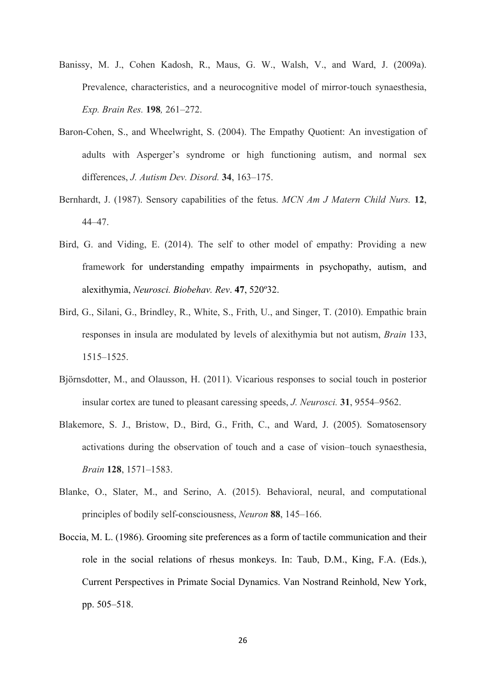- Banissy, M. J., Cohen Kadosh, R., Maus, G. W., Walsh, V., and Ward, J. (2009a). Prevalence, characteristics, and a neurocognitive model of mirror-touch synaesthesia, *Exp. Brain Res.* **198***,* 261–272.
- Baron-Cohen, S., and Wheelwright, S. (2004). The Empathy Quotient: An investigation of adults with Asperger's syndrome or high functioning autism, and normal sex differences, *J. Autism Dev. Disord.* **34**, 163–175.
- Bernhardt, J. (1987). Sensory capabilities of the fetus. *MCN Am J Matern Child Nurs.* **12**, 44–47.
- Bird, G. and Viding, E. (2014). The self to other model of empathy: Providing a new framework for understanding empathy impairments in psychopathy, autism, and alexithymia, *Neurosci. Biobehav. Rev*. **47**, 520º32.
- Bird, G., Silani, G., Brindley, R., White, S., Frith, U., and Singer, T. (2010). Empathic brain responses in insula are modulated by levels of alexithymia but not autism, *Brain* 133, 1515–1525.
- Björnsdotter, M., and Olausson, H. (2011). Vicarious responses to social touch in posterior insular cortex are tuned to pleasant caressing speeds, *J. Neurosci.* **31**, 9554–9562.
- Blakemore, S. J., Bristow, D., Bird, G., Frith, C., and Ward, J. (2005). Somatosensory activations during the observation of touch and a case of vision–touch synaesthesia, *Brain* **128**, 1571–1583.
- Blanke, O., Slater, M., and Serino, A. (2015). Behavioral, neural, and computational principles of bodily self-consciousness, *Neuron* **88**, 145–166.
- Boccia, M. L. (1986). Grooming site preferences as a form of tactile communication and their role in the social relations of rhesus monkeys. In: Taub, D.M., King, F.A. (Eds.), Current Perspectives in Primate Social Dynamics. Van Nostrand Reinhold, New York, pp. 505–518.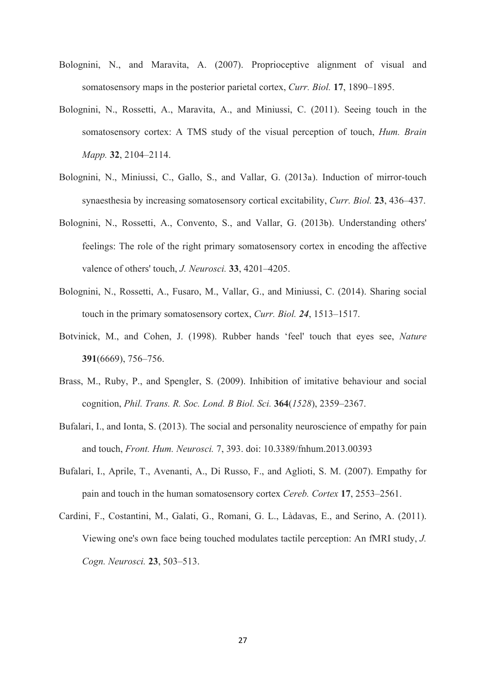- Bolognini, N., and Maravita, A. (2007). Proprioceptive alignment of visual and somatosensory maps in the posterior parietal cortex, *Curr. Biol.* **17**, 1890–1895.
- Bolognini, N., Rossetti, A., Maravita, A., and Miniussi, C. (2011). Seeing touch in the somatosensory cortex: A TMS study of the visual perception of touch, *Hum. Brain Mapp.* **32**, 2104–2114.
- Bolognini, N., Miniussi, C., Gallo, S., and Vallar, G. (2013a). Induction of mirror-touch synaesthesia by increasing somatosensory cortical excitability, *Curr. Biol.* **23**, 436–437.
- Bolognini, N., Rossetti, A., Convento, S., and Vallar, G. (2013b). Understanding others' feelings: The role of the right primary somatosensory cortex in encoding the affective valence of others' touch, *J. Neurosci.* **33**, 4201–4205.
- Bolognini, N., Rossetti, A., Fusaro, M., Vallar, G., and Miniussi, C. (2014). Sharing social touch in the primary somatosensory cortex, *Curr. Biol. 24*, 1513–1517.
- Botvinick, M., and Cohen, J. (1998). Rubber hands 'feel' touch that eyes see, *Nature* **391**(6669), 756–756.
- Brass, M., Ruby, P., and Spengler, S. (2009). Inhibition of imitative behaviour and social cognition, *Phil. Trans. R. Soc. Lond. B Biol. Sci.* **364**(*1528*), 2359–2367.
- Bufalari, I., and Ionta, S. (2013). The social and personality neuroscience of empathy for pain and touch, *Front. Hum. Neurosci.* 7, 393. doi: 10.3389/fnhum.2013.00393
- Bufalari, I., Aprile, T., Avenanti, A., Di Russo, F., and Aglioti, S. M. (2007). Empathy for pain and touch in the human somatosensory cortex *Cereb. Cortex* **17**, 2553–2561.
- Cardini, F., Costantini, M., Galati, G., Romani, G. L., Làdavas, E., and Serino, A. (2011). Viewing one's own face being touched modulates tactile perception: An fMRI study, *J. Cogn. Neurosci.* **23**, 503–513.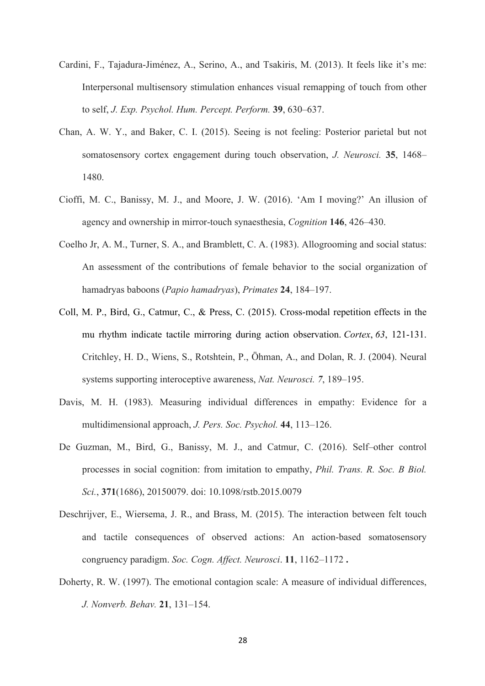- Cardini, F., Tajadura-Jiménez, A., Serino, A., and Tsakiris, M. (2013). It feels like it's me: Interpersonal multisensory stimulation enhances visual remapping of touch from other to self, *J. Exp. Psychol. Hum. Percept. Perform.* **39**, 630–637.
- Chan, A. W. Y., and Baker, C. I. (2015). Seeing is not feeling: Posterior parietal but not somatosensory cortex engagement during touch observation, *J. Neurosci.* **35**, 1468– 1480.
- Cioffi, M. C., Banissy, M. J., and Moore, J. W. (2016). 'Am I moving?' An illusion of agency and ownership in mirror-touch synaesthesia, *Cognition* **146**, 426–430.
- Coelho Jr, A. M., Turner, S. A., and Bramblett, C. A. (1983). Allogrooming and social status: An assessment of the contributions of female behavior to the social organization of hamadryas baboons (*Papio hamadryas*), *Primates* **24**, 184–197.
- Coll, M. P., Bird, G., Catmur, C., & Press, C. (2015). Cross-modal repetition effects in the mu rhythm indicate tactile mirroring during action observation. *Cortex*, *63*, 121-131. Critchley, H. D., Wiens, S., Rotshtein, P., Öhman, A., and Dolan, R. J. (2004). Neural systems supporting interoceptive awareness, *Nat. Neurosci. 7*, 189–195.
- Davis, M. H. (1983). Measuring individual differences in empathy: Evidence for a multidimensional approach, *J. Pers. Soc. Psychol.* **44**, 113–126.
- De Guzman, M., Bird, G., Banissy, M. J., and Catmur, C. (2016). Self–other control processes in social cognition: from imitation to empathy, *Phil. Trans. R. Soc. B Biol. Sci.*, **371**(1686), 20150079. doi: 10.1098/rstb.2015.0079
- Deschrijver, E., Wiersema, J. R., and Brass, M. (2015). The interaction between felt touch and tactile consequences of observed actions: An action-based somatosensory congruency paradigm. *Soc. Cogn. Affect. Neurosci*. **11**, 1162–1172 **.**
- Doherty, R. W. (1997). The emotional contagion scale: A measure of individual differences, *J. Nonverb. Behav.* **21**, 131–154.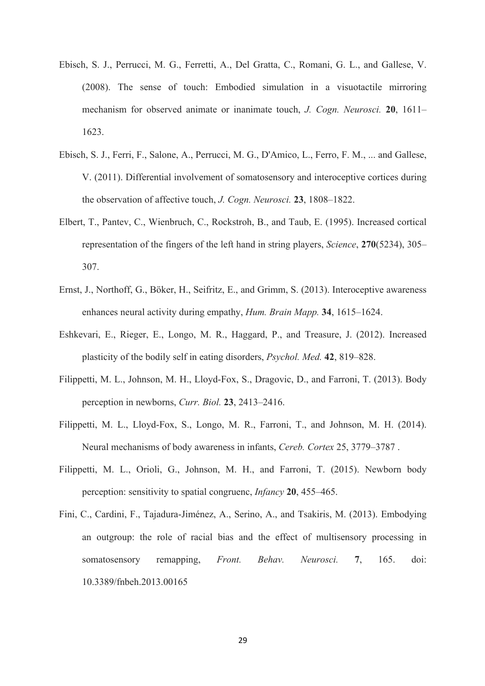- Ebisch, S. J., Perrucci, M. G., Ferretti, A., Del Gratta, C., Romani, G. L., and Gallese, V. (2008). The sense of touch: Embodied simulation in a visuotactile mirroring mechanism for observed animate or inanimate touch, *J. Cogn. Neurosci.* **20**, 1611– 1623.
- Ebisch, S. J., Ferri, F., Salone, A., Perrucci, M. G., D'Amico, L., Ferro, F. M., ... and Gallese, V. (2011). Differential involvement of somatosensory and interoceptive cortices during the observation of affective touch, *J. Cogn. Neurosci.* **23**, 1808–1822.
- Elbert, T., Pantev, C., Wienbruch, C., Rockstroh, B., and Taub, E. (1995). Increased cortical representation of the fingers of the left hand in string players, *Science*, **270**(5234), 305– 307.
- Ernst, J., Northoff, G., Böker, H., Seifritz, E., and Grimm, S. (2013). Interoceptive awareness enhances neural activity during empathy, *Hum. Brain Mapp.* **34**, 1615–1624.
- Eshkevari, E., Rieger, E., Longo, M. R., Haggard, P., and Treasure, J. (2012). Increased plasticity of the bodily self in eating disorders, *Psychol. Med.* **42**, 819–828.
- Filippetti, M. L., Johnson, M. H., Lloyd-Fox, S., Dragovic, D., and Farroni, T. (2013). Body perception in newborns, *Curr. Biol.* **23**, 2413–2416.
- Filippetti, M. L., Lloyd-Fox, S., Longo, M. R., Farroni, T., and Johnson, M. H. (2014). Neural mechanisms of body awareness in infants, *Cereb. Cortex* 25, 3779–3787 .
- Filippetti, M. L., Orioli, G., Johnson, M. H., and Farroni, T. (2015). Newborn body perception: sensitivity to spatial congruenc, *Infancy* **20**, 455–465.
- Fini, C., Cardini, F., Tajadura-Jiménez, A., Serino, A., and Tsakiris, M. (2013). Embodying an outgroup: the role of racial bias and the effect of multisensory processing in somatosensory remapping, *Front. Behav. Neurosci.* **7**, 165. doi: 10.3389/fnbeh.2013.00165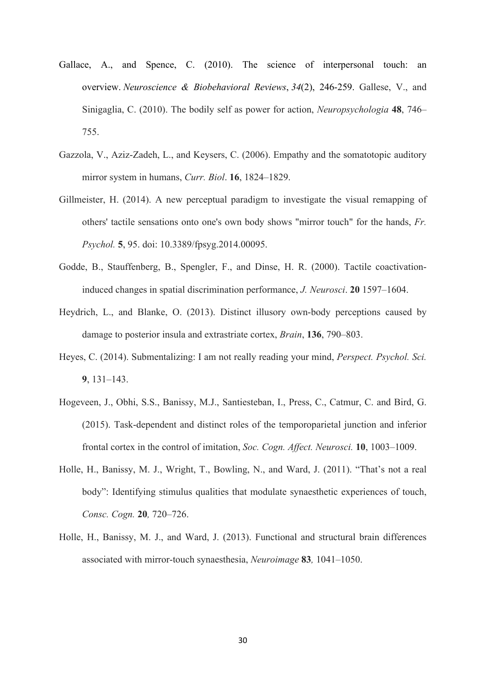- Gallace, A., and Spence, C. (2010). The science of interpersonal touch: an overview. *Neuroscience & Biobehavioral Reviews*, *34*(2), 246-259. Gallese, V., and Sinigaglia, C. (2010). The bodily self as power for action, *Neuropsychologia* **48**, 746– 755.
- Gazzola, V., Aziz-Zadeh, L., and Keysers, C. (2006). Empathy and the somatotopic auditory mirror system in humans, *Curr. Biol*. **16**, 1824–1829.
- Gillmeister, H. (2014). A new perceptual paradigm to investigate the visual remapping of others' tactile sensations onto one's own body shows "mirror touch" for the hands, *Fr. Psychol.* **5**, 95. doi: 10.3389/fpsyg.2014.00095.
- Godde, B., Stauffenberg, B., Spengler, F., and Dinse, H. R. (2000). Tactile coactivationinduced changes in spatial discrimination performance, *J. Neurosci*. **20** 1597–1604.
- Heydrich, L., and Blanke, O. (2013). Distinct illusory own-body perceptions caused by damage to posterior insula and extrastriate cortex, *Brain*, **136**, 790–803.
- Heyes, C. (2014). Submentalizing: I am not really reading your mind, *Perspect. Psychol. Sci.* **9**, 131–143.
- Hogeveen, J., Obhi, S.S., Banissy, M.J., Santiesteban, I., Press, C., Catmur, C. and Bird, G. (2015). Task-dependent and distinct roles of the temporoparietal junction and inferior frontal cortex in the control of imitation, *Soc. Cogn. Affect. Neurosci.* **10**, 1003–1009.
- Holle, H., Banissy, M. J., Wright, T., Bowling, N., and Ward, J. (2011). "That's not a real body": Identifying stimulus qualities that modulate synaesthetic experiences of touch, *Consc. Cogn.* **20***,* 720–726.
- Holle, H., Banissy, M. J., and Ward, J. (2013). Functional and structural brain differences associated with mirror-touch synaesthesia, *Neuroimage* **83***,* 1041–1050.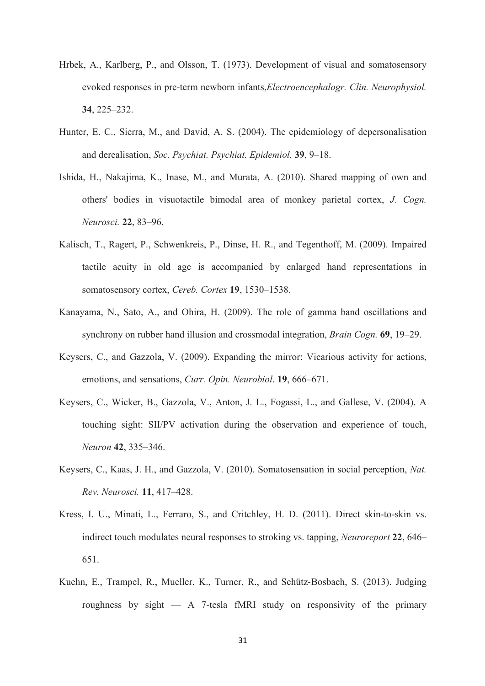- Hrbek, A., Karlberg, P., and Olsson, T. (1973). Development of visual and somatosensory evoked responses in pre-term newborn infants,*Electroencephalogr. Clin. Neurophysiol.* **34**, 225–232.
- Hunter, E. C., Sierra, M., and David, A. S. (2004). The epidemiology of depersonalisation and derealisation, *Soc. Psychiat. Psychiat. Epidemiol.* **39**, 9–18.
- Ishida, H., Nakajima, K., Inase, M., and Murata, A. (2010). Shared mapping of own and others' bodies in visuotactile bimodal area of monkey parietal cortex, *J. Cogn. Neurosci.* **22**, 83–96.
- Kalisch, T., Ragert, P., Schwenkreis, P., Dinse, H. R., and Tegenthoff, M. (2009). Impaired tactile acuity in old age is accompanied by enlarged hand representations in somatosensory cortex, *Cereb. Cortex* **19**, 1530–1538.
- Kanayama, N., Sato, A., and Ohira, H. (2009). The role of gamma band oscillations and synchrony on rubber hand illusion and crossmodal integration, *Brain Cogn.* **69**, 19–29.
- Keysers, C., and Gazzola, V. (2009). Expanding the mirror: Vicarious activity for actions, emotions, and sensations, *Curr. Opin. Neurobiol*. **19**, 666–671.
- Keysers, C., Wicker, B., Gazzola, V., Anton, J. L., Fogassi, L., and Gallese, V. (2004). A touching sight: SII/PV activation during the observation and experience of touch, *Neuron* **42**, 335–346.
- Keysers, C., Kaas, J. H., and Gazzola, V. (2010). Somatosensation in social perception, *Nat. Rev. Neurosci.* **11**, 417–428.
- Kress, I. U., Minati, L., Ferraro, S., and Critchley, H. D. (2011). Direct skin-to-skin vs. indirect touch modulates neural responses to stroking vs. tapping, *Neuroreport* **22**, 646– 651.
- Kuehn, E., Trampel, R., Mueller, K., Turner, R., and Schütz-Bosbach, S. (2013). Judging roughness by sight — A 7-tesla fMRI study on responsivity of the primary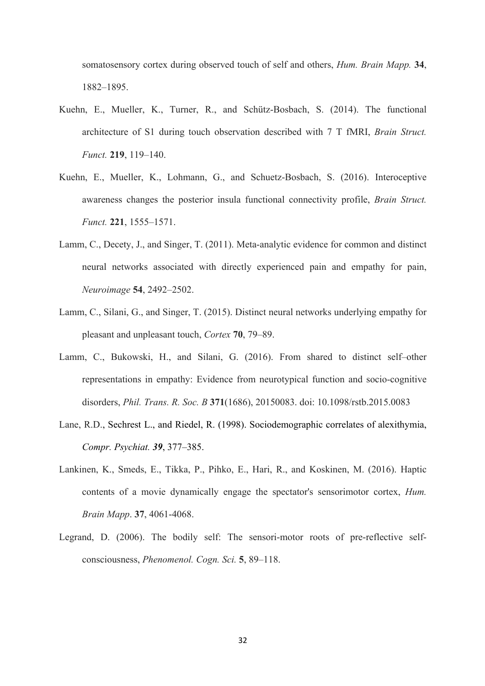somatosensory cortex during observed touch of self and others, *Hum. Brain Mapp.* **34**, 1882–1895.

- Kuehn, E., Mueller, K., Turner, R., and Schütz-Bosbach, S. (2014). The functional architecture of S1 during touch observation described with 7 T fMRI, *Brain Struct. Funct.* **219**, 119–140.
- Kuehn, E., Mueller, K., Lohmann, G., and Schuetz-Bosbach, S. (2016). Interoceptive awareness changes the posterior insula functional connectivity profile, *Brain Struct. Funct.* **221**, 1555–1571.
- Lamm, C., Decety, J., and Singer, T. (2011). Meta-analytic evidence for common and distinct neural networks associated with directly experienced pain and empathy for pain, *Neuroimage* **54**, 2492–2502.
- Lamm, C., Silani, G., and Singer, T. (2015). Distinct neural networks underlying empathy for pleasant and unpleasant touch, *Cortex* **70**, 79–89.
- Lamm, C., Bukowski, H., and Silani, G. (2016). From shared to distinct self–other representations in empathy: Evidence from neurotypical function and socio-cognitive disorders, *Phil. Trans. R. Soc. B* **371**(1686), 20150083. doi: 10.1098/rstb.2015.0083
- Lane, R.D., Sechrest L., and Riedel, R. (1998). Sociodemographic correlates of alexithymia, *Compr. Psychiat. 39*, 377–385.
- Lankinen, K., Smeds, E., Tikka, P., Pihko, E., Hari, R., and Koskinen, M. (2016). Haptic contents of a movie dynamically engage the spectator's sensorimotor cortex, *Hum. Brain Mapp*. **37**, 4061-4068.
- Legrand, D. (2006). The bodily self: The sensori-motor roots of pre-reflective selfconsciousness, *Phenomenol. Cogn. Sci.* **5**, 89–118.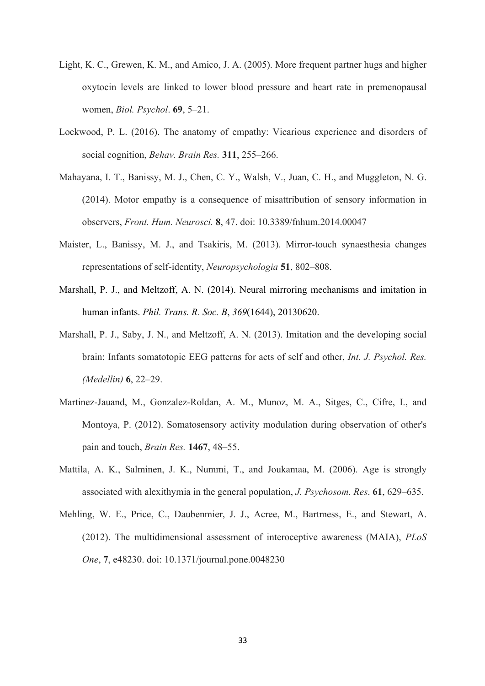- Light, K. C., Grewen, K. M., and Amico, J. A. (2005). More frequent partner hugs and higher oxytocin levels are linked to lower blood pressure and heart rate in premenopausal women, *Biol. Psychol*. **69**, 5–21.
- Lockwood, P. L. (2016). The anatomy of empathy: Vicarious experience and disorders of social cognition, *Behav. Brain Res.* **311**, 255–266.
- Mahayana, I. T., Banissy, M. J., Chen, C. Y., Walsh, V., Juan, C. H., and Muggleton, N. G. (2014). Motor empathy is a consequence of misattribution of sensory information in observers, *Front. Hum. Neurosci.* **8**, 47. doi: 10.3389/fnhum.2014.00047
- Maister, L., Banissy, M. J., and Tsakiris, M. (2013). Mirror-touch synaesthesia changes representations of self-identity, *Neuropsychologia* **51**, 802–808.
- Marshall, P. J., and Meltzoff, A. N. (2014). Neural mirroring mechanisms and imitation in human infants. *Phil. Trans. R. Soc. B*, *369*(1644), 20130620.
- Marshall, P. J., Saby, J. N., and Meltzoff, A. N. (2013). Imitation and the developing social brain: Infants somatotopic EEG patterns for acts of self and other, *Int. J. Psychol. Res. (Medellin)* **6**, 22–29.
- Martinez-Jauand, M., Gonzalez-Roldan, A. M., Munoz, M. A., Sitges, C., Cifre, I., and Montoya, P. (2012). Somatosensory activity modulation during observation of other's pain and touch, *Brain Res.* **1467**, 48–55.
- Mattila, A. K., Salminen, J. K., Nummi, T., and Joukamaa, M. (2006). Age is strongly associated with alexithymia in the general population, *J. Psychosom. Res*. **61**, 629–635.
- Mehling, W. E., Price, C., Daubenmier, J. J., Acree, M., Bartmess, E., and Stewart, A. (2012). The multidimensional assessment of interoceptive awareness (MAIA), *PLoS One*, **7**, e48230. doi: 10.1371/journal.pone.0048230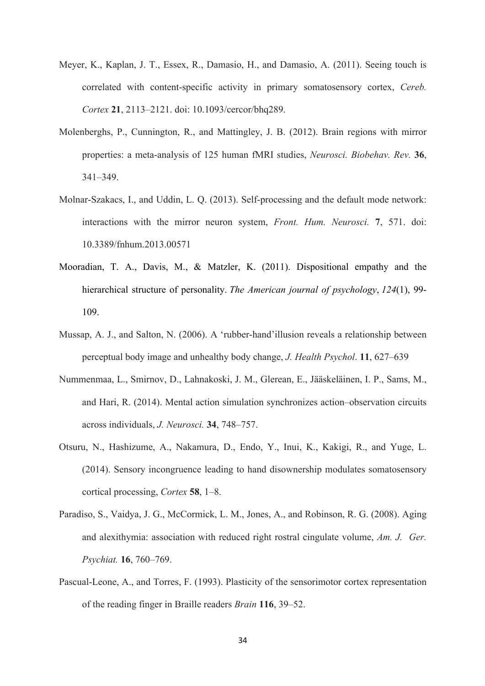- Meyer, K., Kaplan, J. T., Essex, R., Damasio, H., and Damasio, A. (2011). Seeing touch is correlated with content-specific activity in primary somatosensory cortex, *Cereb. Cortex* **21**, 2113–2121. doi: 10.1093/cercor/bhq289.
- Molenberghs, P., Cunnington, R., and Mattingley, J. B. (2012). Brain regions with mirror properties: a meta-analysis of 125 human fMRI studies, *Neurosci. Biobehav. Rev.* **36**, 341–349.
- Molnar-Szakacs, I., and Uddin, L. Q. (2013). Self-processing and the default mode network: interactions with the mirror neuron system, *Front. Hum. Neurosci.* **7**, 571. doi: 10.3389/fnhum.2013.00571
- Mooradian, T. A., Davis, M., & Matzler, K. (2011). Dispositional empathy and the hierarchical structure of personality. *The American journal of psychology*, *124*(1), 99- 109.
- Mussap, A. J., and Salton, N. (2006). A 'rubber-hand'illusion reveals a relationship between perceptual body image and unhealthy body change, *J. Health Psychol*. **11**, 627–639
- Nummenmaa, L., Smirnov, D., Lahnakoski, J. M., Glerean, E., Jääskeläinen, I. P., Sams, M., and Hari, R. (2014). Mental action simulation synchronizes action–observation circuits across individuals, *J. Neurosci.* **34**, 748–757.
- Otsuru, N., Hashizume, A., Nakamura, D., Endo, Y., Inui, K., Kakigi, R., and Yuge, L. (2014). Sensory incongruence leading to hand disownership modulates somatosensory cortical processing, *Cortex* **58**, 1–8.
- Paradiso, S., Vaidya, J. G., McCormick, L. M., Jones, A., and Robinson, R. G. (2008). Aging and alexithymia: association with reduced right rostral cingulate volume, *Am. J. Ger. Psychiat.* **16**, 760–769.
- Pascual-Leone, A., and Torres, F. (1993). Plasticity of the sensorimotor cortex representation of the reading finger in Braille readers *Brain* **116**, 39–52.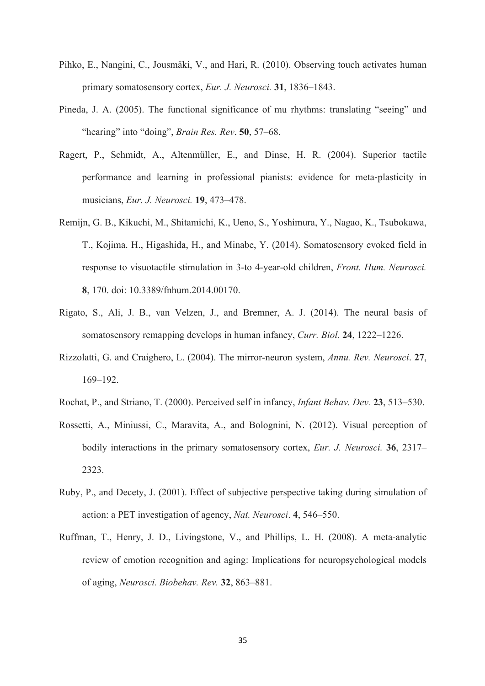- Pihko, E., Nangini, C., Jousmäki, V., and Hari, R. (2010). Observing touch activates human primary somatosensory cortex, *Eur. J. Neurosci.* **31**, 1836–1843.
- Pineda, J. A. (2005). The functional significance of mu rhythms: translating "seeing" and "hearing" into "doing", *Brain Res. Rev*. **50**, 57–68.
- Ragert, P., Schmidt, A., Altenmüller, E., and Dinse, H. R. (2004). Superior tactile performance and learning in professional pianists: evidence for meta-plasticity in musicians, *Eur. J. Neurosci.* **19**, 473–478.
- Remijn, G. B., Kikuchi, M., Shitamichi, K., Ueno, S., Yoshimura, Y., Nagao, K., Tsubokawa, T., Kojima. H., Higashida, H., and Minabe, Y. (2014). Somatosensory evoked field in response to visuotactile stimulation in 3-to 4-year-old children, *Front. Hum. Neurosci.*  **8**, 170. doi: 10.3389/fnhum.2014.00170.
- Rigato, S., Ali, J. B., van Velzen, J., and Bremner, A. J. (2014). The neural basis of somatosensory remapping develops in human infancy, *Curr. Biol.* **24**, 1222–1226.
- Rizzolatti, G. and Craighero, L. (2004). The mirror-neuron system, *Annu. Rev. Neurosci*. **27**, 169–192.
- Rochat, P., and Striano, T. (2000). Perceived self in infancy, *Infant Behav. Dev.* **23**, 513–530.
- Rossetti, A., Miniussi, C., Maravita, A., and Bolognini, N. (2012). Visual perception of bodily interactions in the primary somatosensory cortex, *Eur. J. Neurosci.* **36**, 2317– 2323.
- Ruby, P., and Decety, J. (2001). Effect of subjective perspective taking during simulation of action: a PET investigation of agency, *Nat. Neurosci*. **4**, 546–550.
- Ruffman, T., Henry, J. D., Livingstone, V., and Phillips, L. H. (2008). A meta-analytic review of emotion recognition and aging: Implications for neuropsychological models of aging, *Neurosci. Biobehav. Rev.* **32**, 863–881.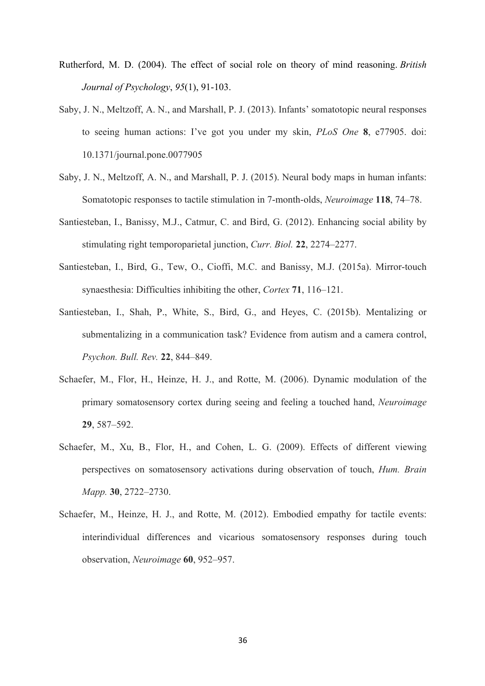- Rutherford, M. D. (2004). The effect of social role on theory of mind reasoning. *British Journal of Psychology*, *95*(1), 91-103.
- Saby, J. N., Meltzoff, A. N., and Marshall, P. J. (2013). Infants' somatotopic neural responses to seeing human actions: I've got you under my skin, *PLoS One* **8**, e77905. doi: 10.1371/journal.pone.0077905
- Saby, J. N., Meltzoff, A. N., and Marshall, P. J. (2015). Neural body maps in human infants: Somatotopic responses to tactile stimulation in 7-month-olds, *Neuroimage* **118**, 74–78.
- Santiesteban, I., Banissy, M.J., Catmur, C. and Bird, G. (2012). Enhancing social ability by stimulating right temporoparietal junction, *Curr. Biol.* **22**, 2274–2277.
- Santiesteban, I., Bird, G., Tew, O., Cioffi, M.C. and Banissy, M.J. (2015a). Mirror-touch synaesthesia: Difficulties inhibiting the other, *Cortex* **71**, 116–121.
- Santiesteban, I., Shah, P., White, S., Bird, G., and Heyes, C. (2015b). Mentalizing or submentalizing in a communication task? Evidence from autism and a camera control, *Psychon. Bull. Rev.* **22**, 844–849.
- Schaefer, M., Flor, H., Heinze, H. J., and Rotte, M. (2006). Dynamic modulation of the primary somatosensory cortex during seeing and feeling a touched hand, *Neuroimage* **29**, 587–592.
- Schaefer, M., Xu, B., Flor, H., and Cohen, L. G. (2009). Effects of different viewing perspectives on somatosensory activations during observation of touch, *Hum. Brain Mapp.* **30**, 2722–2730.
- Schaefer, M., Heinze, H. J., and Rotte, M. (2012). Embodied empathy for tactile events: interindividual differences and vicarious somatosensory responses during touch observation, *Neuroimage* **60**, 952–957.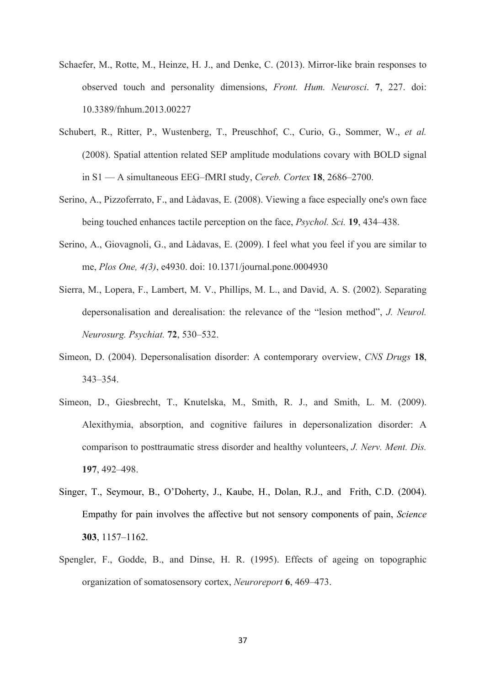- Schaefer, M., Rotte, M., Heinze, H. J., and Denke, C. (2013). Mirror-like brain responses to observed touch and personality dimensions, *Front. Hum. Neurosci*. **7**, 227. doi: 10.3389/fnhum.2013.00227
- Schubert, R., Ritter, P., Wustenberg, T., Preuschhof, C., Curio, G., Sommer, W., *et al.*  (2008). Spatial attention related SEP amplitude modulations covary with BOLD signal in S1 — A simultaneous EEG–fMRI study, *Cereb. Cortex* **18**, 2686–2700.
- Serino, A., Pizzoferrato, F., and Làdavas, E. (2008). Viewing a face especially one's own face being touched enhances tactile perception on the face, *Psychol. Sci.* **19**, 434–438.
- Serino, A., Giovagnoli, G., and Làdavas, E. (2009). I feel what you feel if you are similar to me, *Plos One, 4(3)*, e4930. doi: 10.1371/journal.pone.0004930
- Sierra, M., Lopera, F., Lambert, M. V., Phillips, M. L., and David, A. S. (2002). Separating depersonalisation and derealisation: the relevance of the "lesion method", *J. Neurol. Neurosurg. Psychiat.* **72**, 530–532.
- Simeon, D. (2004). Depersonalisation disorder: A contemporary overview, *CNS Drugs* **18**, 343–354.
- Simeon, D., Giesbrecht, T., Knutelska, M., Smith, R. J., and Smith, L. M. (2009). Alexithymia, absorption, and cognitive failures in depersonalization disorder: A comparison to posttraumatic stress disorder and healthy volunteers, *J. Nerv. Ment. Dis.* **197**, 492–498.
- Singer, T., Seymour, B., O'Doherty, J., Kaube, H., Dolan, R.J., and Frith, C.D. (2004). Empathy for pain involves the affective but not sensory components of pain, *Science*  **303**, 1157–1162.
- Spengler, F., Godde, B., and Dinse, H. R. (1995). Effects of ageing on topographic organization of somatosensory cortex, *Neuroreport* **6**, 469–473.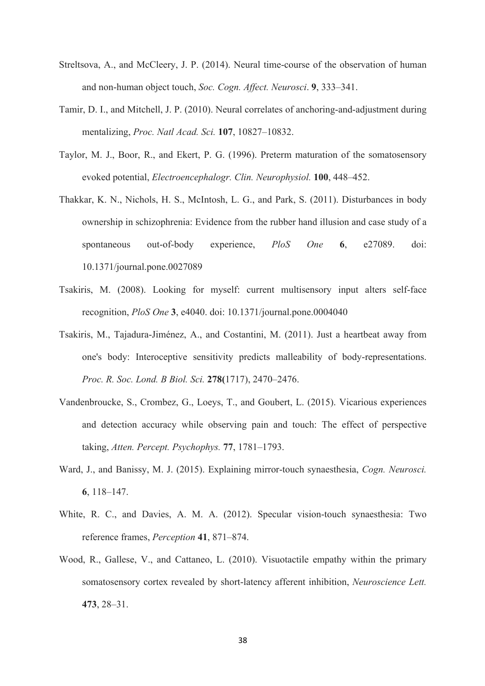- Streltsova, A., and McCleery, J. P. (2014). Neural time-course of the observation of human and non-human object touch, *Soc. Cogn. Affect. Neurosci*. **9**, 333–341.
- Tamir, D. I., and Mitchell, J. P. (2010). Neural correlates of anchoring-and-adjustment during mentalizing, *Proc. Natl Acad. Sci.* **107**, 10827–10832.
- Taylor, M. J., Boor, R., and Ekert, P. G. (1996). Preterm maturation of the somatosensory evoked potential, *Electroencephalogr. Clin. Neurophysiol.* **100**, 448–452.
- Thakkar, K. N., Nichols, H. S., McIntosh, L. G., and Park, S. (2011). Disturbances in body ownership in schizophrenia: Evidence from the rubber hand illusion and case study of a spontaneous out-of-body experience, *PloS One* **6**, e27089. doi: 10.1371/journal.pone.0027089
- Tsakiris, M. (2008). Looking for myself: current multisensory input alters self-face recognition, *PloS One* **3**, e4040. doi: 10.1371/journal.pone.0004040
- Tsakiris, M., Tajadura-Jiménez, A., and Costantini, M. (2011). Just a heartbeat away from one's body: Interoceptive sensitivity predicts malleability of body-representations. *Proc. R. Soc. Lond. B Biol. Sci.* **278(**1717), 2470–2476.
- Vandenbroucke, S., Crombez, G., Loeys, T., and Goubert, L. (2015). Vicarious experiences and detection accuracy while observing pain and touch: The effect of perspective taking, *Atten. Percept. Psychophys.* **77**, 1781–1793.
- Ward, J., and Banissy, M. J. (2015). Explaining mirror-touch synaesthesia, *Cogn. Neurosci.* **6**, 118–147.
- White, R. C., and Davies, A. M. A. (2012). Specular vision-touch synaesthesia: Two reference frames, *Perception* **41**, 871–874.
- Wood, R., Gallese, V., and Cattaneo, L. (2010). Visuotactile empathy within the primary somatosensory cortex revealed by short-latency afferent inhibition, *Neuroscience Lett.* **473**, 28–31.